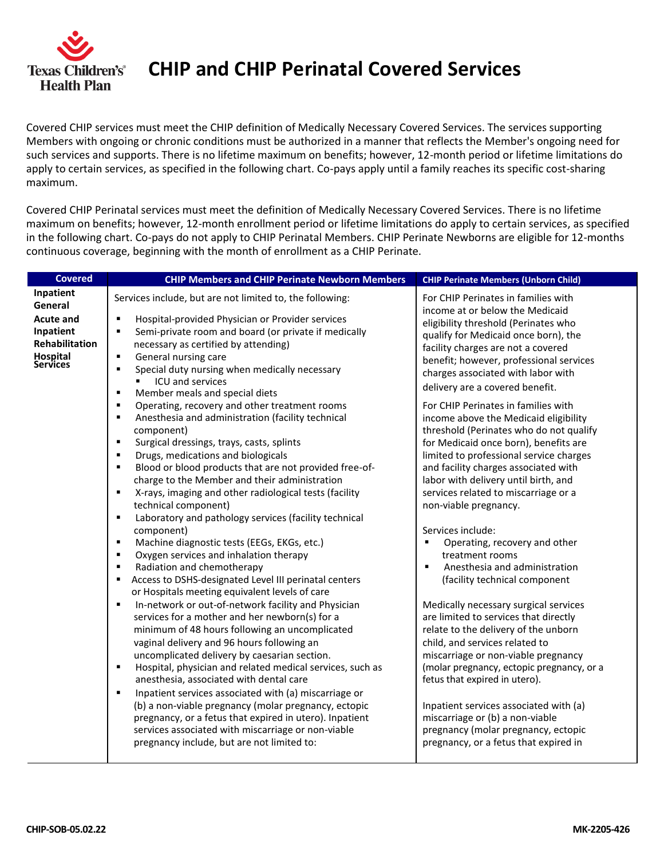

**CHIP and CHIP Perinatal Covered Services**

Covered CHIP services must meet the CHIP definition of Medically Necessary Covered Services. The services supporting Members with ongoing or chronic conditions must be authorized in a manner that reflects the Member's ongoing need for such services and supports. There is no lifetime maximum on benefits; however, 12-month period or lifetime limitations do apply to certain services, as specified in the following chart. Co-pays apply until a family reaches its specific cost-sharing maximum.

Covered CHIP Perinatal services must meet the definition of Medically Necessary Covered Services. There is no lifetime maximum on benefits; however, 12-month enrollment period or lifetime limitations do apply to certain services, as specified in the following chart. Co-pays do not apply to CHIP Perinatal Members. CHIP Perinate Newborns are eligible for 12-months continuous coverage, beginning with the month of enrollment as a CHIP Perinate.

| <b>Covered</b>                                                                                   | <b>CHIP Members and CHIP Perinate Newborn Members</b>                                                                                                                                                                                                                                                                                                                                                                                                                                                                                                                                                                                                                                                                                                                                                                                                                                                                                                                                                                                                                                                                                                                                                                                                                                                                           | <b>CHIP Perinate Members (Unborn Child)</b>                                                                                                                                                                                                                                                                                                                                                                                                                                                                                                                                                                                                                                                                                                                                                                                                                                                                                      |
|--------------------------------------------------------------------------------------------------|---------------------------------------------------------------------------------------------------------------------------------------------------------------------------------------------------------------------------------------------------------------------------------------------------------------------------------------------------------------------------------------------------------------------------------------------------------------------------------------------------------------------------------------------------------------------------------------------------------------------------------------------------------------------------------------------------------------------------------------------------------------------------------------------------------------------------------------------------------------------------------------------------------------------------------------------------------------------------------------------------------------------------------------------------------------------------------------------------------------------------------------------------------------------------------------------------------------------------------------------------------------------------------------------------------------------------------|----------------------------------------------------------------------------------------------------------------------------------------------------------------------------------------------------------------------------------------------------------------------------------------------------------------------------------------------------------------------------------------------------------------------------------------------------------------------------------------------------------------------------------------------------------------------------------------------------------------------------------------------------------------------------------------------------------------------------------------------------------------------------------------------------------------------------------------------------------------------------------------------------------------------------------|
| Inpatient                                                                                        | Services include, but are not limited to, the following:                                                                                                                                                                                                                                                                                                                                                                                                                                                                                                                                                                                                                                                                                                                                                                                                                                                                                                                                                                                                                                                                                                                                                                                                                                                                        | For CHIP Perinates in families with                                                                                                                                                                                                                                                                                                                                                                                                                                                                                                                                                                                                                                                                                                                                                                                                                                                                                              |
| General<br><b>Acute and</b><br>Inpatient<br><b>Rehabilitation</b><br>Hospital<br><b>Services</b> | $\blacksquare$<br>Hospital-provided Physician or Provider services<br>Semi-private room and board (or private if medically<br>٠<br>necessary as certified by attending)<br>General nursing care<br>$\blacksquare$<br>Special duty nursing when medically necessary<br>٠<br>ICU and services<br>٠<br>Member meals and special diets<br>$\blacksquare$<br>Operating, recovery and other treatment rooms<br>٠<br>Anesthesia and administration (facility technical<br>٠<br>component)<br>Surgical dressings, trays, casts, splints<br>٠<br>Drugs, medications and biologicals<br>٠<br>Blood or blood products that are not provided free-of-<br>٠<br>charge to the Member and their administration<br>X-rays, imaging and other radiological tests (facility<br>$\blacksquare$<br>technical component)<br>Laboratory and pathology services (facility technical<br>٠<br>component)<br>Machine diagnostic tests (EEGs, EKGs, etc.)<br>٠<br>Oxygen services and inhalation therapy<br>$\blacksquare$<br>Radiation and chemotherapy<br>$\blacksquare$<br>Access to DSHS-designated Level III perinatal centers<br>٠<br>or Hospitals meeting equivalent levels of care<br>In-network or out-of-network facility and Physician<br>٠<br>services for a mother and her newborn(s) for a<br>minimum of 48 hours following an uncomplicated | income at or below the Medicaid<br>eligibility threshold (Perinates who<br>qualify for Medicaid once born), the<br>facility charges are not a covered<br>benefit; however, professional services<br>charges associated with labor with<br>delivery are a covered benefit.<br>For CHIP Perinates in families with<br>income above the Medicaid eligibility<br>threshold (Perinates who do not qualify<br>for Medicaid once born), benefits are<br>limited to professional service charges<br>and facility charges associated with<br>labor with delivery until birth, and<br>services related to miscarriage or a<br>non-viable pregnancy.<br>Services include:<br>Operating, recovery and other<br>treatment rooms<br>Anesthesia and administration<br>$\blacksquare$<br>(facility technical component<br>Medically necessary surgical services<br>are limited to services that directly<br>relate to the delivery of the unborn |
|                                                                                                  | vaginal delivery and 96 hours following an<br>uncomplicated delivery by caesarian section.<br>Hospital, physician and related medical services, such as<br>٠<br>anesthesia, associated with dental care<br>Inpatient services associated with (a) miscarriage or<br>$\blacksquare$<br>(b) a non-viable pregnancy (molar pregnancy, ectopic<br>pregnancy, or a fetus that expired in utero). Inpatient<br>services associated with miscarriage or non-viable<br>pregnancy include, but are not limited to:                                                                                                                                                                                                                                                                                                                                                                                                                                                                                                                                                                                                                                                                                                                                                                                                                       | child, and services related to<br>miscarriage or non-viable pregnancy<br>(molar pregnancy, ectopic pregnancy, or a<br>fetus that expired in utero).<br>Inpatient services associated with (a)<br>miscarriage or (b) a non-viable<br>pregnancy (molar pregnancy, ectopic<br>pregnancy, or a fetus that expired in                                                                                                                                                                                                                                                                                                                                                                                                                                                                                                                                                                                                                 |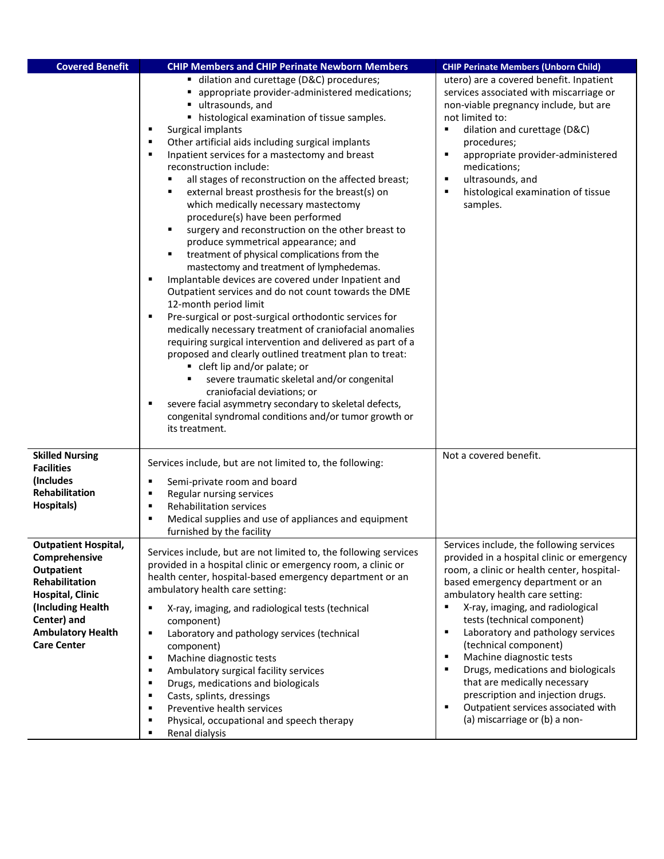| <b>Covered Benefit</b>             | <b>CHIP Members and CHIP Perinate Newborn Members</b>                                                                                                                                                                                                                                                                                                                                                                                                                                                                                                                                                                                                                                                                                                                                                                                                                                                                                                                                                                                                                                                                                                                                                                                                                                                                                                                                                                     | <b>CHIP Perinate Members (Unborn Child)</b>                                                                                                                                                                                                                                                                                                                            |
|------------------------------------|---------------------------------------------------------------------------------------------------------------------------------------------------------------------------------------------------------------------------------------------------------------------------------------------------------------------------------------------------------------------------------------------------------------------------------------------------------------------------------------------------------------------------------------------------------------------------------------------------------------------------------------------------------------------------------------------------------------------------------------------------------------------------------------------------------------------------------------------------------------------------------------------------------------------------------------------------------------------------------------------------------------------------------------------------------------------------------------------------------------------------------------------------------------------------------------------------------------------------------------------------------------------------------------------------------------------------------------------------------------------------------------------------------------------------|------------------------------------------------------------------------------------------------------------------------------------------------------------------------------------------------------------------------------------------------------------------------------------------------------------------------------------------------------------------------|
|                                    | ■ dilation and curettage (D&C) procedures;<br>appropriate provider-administered medications;<br>ultrasounds, and<br>٠<br>histological examination of tissue samples.<br>٠<br>Surgical implants<br>Other artificial aids including surgical implants<br>$\blacksquare$<br>Inpatient services for a mastectomy and breast<br>$\blacksquare$<br>reconstruction include:<br>all stages of reconstruction on the affected breast;<br>external breast prosthesis for the breast(s) on<br>which medically necessary mastectomy<br>procedure(s) have been performed<br>surgery and reconstruction on the other breast to<br>٠<br>produce symmetrical appearance; and<br>treatment of physical complications from the<br>٠<br>mastectomy and treatment of lymphedemas.<br>Implantable devices are covered under Inpatient and<br>$\blacksquare$<br>Outpatient services and do not count towards the DME<br>12-month period limit<br>Pre-surgical or post-surgical orthodontic services for<br>medically necessary treatment of craniofacial anomalies<br>requiring surgical intervention and delivered as part of a<br>proposed and clearly outlined treatment plan to treat:<br>• cleft lip and/or palate; or<br>severe traumatic skeletal and/or congenital<br>craniofacial deviations; or<br>severe facial asymmetry secondary to skeletal defects,<br>congenital syndromal conditions and/or tumor growth or<br>its treatment. | utero) are a covered benefit. Inpatient<br>services associated with miscarriage or<br>non-viable pregnancy include, but are<br>not limited to:<br>dilation and curettage (D&C)<br>$\blacksquare$<br>procedures;<br>$\blacksquare$<br>appropriate provider-administered<br>medications;<br>ultrasounds, and<br>٠<br>histological examination of tissue<br>٠<br>samples. |
| <b>Skilled Nursing</b>             |                                                                                                                                                                                                                                                                                                                                                                                                                                                                                                                                                                                                                                                                                                                                                                                                                                                                                                                                                                                                                                                                                                                                                                                                                                                                                                                                                                                                                           | Not a covered benefit.                                                                                                                                                                                                                                                                                                                                                 |
| <b>Facilities</b>                  | Services include, but are not limited to, the following:                                                                                                                                                                                                                                                                                                                                                                                                                                                                                                                                                                                                                                                                                                                                                                                                                                                                                                                                                                                                                                                                                                                                                                                                                                                                                                                                                                  |                                                                                                                                                                                                                                                                                                                                                                        |
| (Includes<br>Rehabilitation        | Semi-private room and board<br>٠<br>٠                                                                                                                                                                                                                                                                                                                                                                                                                                                                                                                                                                                                                                                                                                                                                                                                                                                                                                                                                                                                                                                                                                                                                                                                                                                                                                                                                                                     |                                                                                                                                                                                                                                                                                                                                                                        |
| Hospitals)                         | Regular nursing services<br><b>Rehabilitation services</b><br>٠                                                                                                                                                                                                                                                                                                                                                                                                                                                                                                                                                                                                                                                                                                                                                                                                                                                                                                                                                                                                                                                                                                                                                                                                                                                                                                                                                           |                                                                                                                                                                                                                                                                                                                                                                        |
|                                    | Medical supplies and use of appliances and equipment<br>$\blacksquare$                                                                                                                                                                                                                                                                                                                                                                                                                                                                                                                                                                                                                                                                                                                                                                                                                                                                                                                                                                                                                                                                                                                                                                                                                                                                                                                                                    |                                                                                                                                                                                                                                                                                                                                                                        |
|                                    | furnished by the facility                                                                                                                                                                                                                                                                                                                                                                                                                                                                                                                                                                                                                                                                                                                                                                                                                                                                                                                                                                                                                                                                                                                                                                                                                                                                                                                                                                                                 |                                                                                                                                                                                                                                                                                                                                                                        |
| <b>Outpatient Hospital,</b>        | Services include, but are not limited to, the following services                                                                                                                                                                                                                                                                                                                                                                                                                                                                                                                                                                                                                                                                                                                                                                                                                                                                                                                                                                                                                                                                                                                                                                                                                                                                                                                                                          | Services include, the following services                                                                                                                                                                                                                                                                                                                               |
| Comprehensive<br><b>Outpatient</b> | provided in a hospital clinic or emergency room, a clinic or                                                                                                                                                                                                                                                                                                                                                                                                                                                                                                                                                                                                                                                                                                                                                                                                                                                                                                                                                                                                                                                                                                                                                                                                                                                                                                                                                              | provided in a hospital clinic or emergency<br>room, a clinic or health center, hospital-                                                                                                                                                                                                                                                                               |
| Rehabilitation                     | health center, hospital-based emergency department or an                                                                                                                                                                                                                                                                                                                                                                                                                                                                                                                                                                                                                                                                                                                                                                                                                                                                                                                                                                                                                                                                                                                                                                                                                                                                                                                                                                  | based emergency department or an                                                                                                                                                                                                                                                                                                                                       |
| <b>Hospital, Clinic</b>            | ambulatory health care setting:                                                                                                                                                                                                                                                                                                                                                                                                                                                                                                                                                                                                                                                                                                                                                                                                                                                                                                                                                                                                                                                                                                                                                                                                                                                                                                                                                                                           | ambulatory health care setting:                                                                                                                                                                                                                                                                                                                                        |
| (Including Health                  | X-ray, imaging, and radiological tests (technical                                                                                                                                                                                                                                                                                                                                                                                                                                                                                                                                                                                                                                                                                                                                                                                                                                                                                                                                                                                                                                                                                                                                                                                                                                                                                                                                                                         | X-ray, imaging, and radiological                                                                                                                                                                                                                                                                                                                                       |
| Center) and                        | component)                                                                                                                                                                                                                                                                                                                                                                                                                                                                                                                                                                                                                                                                                                                                                                                                                                                                                                                                                                                                                                                                                                                                                                                                                                                                                                                                                                                                                | tests (technical component)                                                                                                                                                                                                                                                                                                                                            |
| <b>Ambulatory Health</b>           | Laboratory and pathology services (technical<br>٠                                                                                                                                                                                                                                                                                                                                                                                                                                                                                                                                                                                                                                                                                                                                                                                                                                                                                                                                                                                                                                                                                                                                                                                                                                                                                                                                                                         | Laboratory and pathology services<br>$\blacksquare$<br>(technical component)                                                                                                                                                                                                                                                                                           |
| <b>Care Center</b>                 | component)<br>Machine diagnostic tests<br>٠                                                                                                                                                                                                                                                                                                                                                                                                                                                                                                                                                                                                                                                                                                                                                                                                                                                                                                                                                                                                                                                                                                                                                                                                                                                                                                                                                                               | Machine diagnostic tests<br>$\blacksquare$                                                                                                                                                                                                                                                                                                                             |
|                                    | Ambulatory surgical facility services<br>٠                                                                                                                                                                                                                                                                                                                                                                                                                                                                                                                                                                                                                                                                                                                                                                                                                                                                                                                                                                                                                                                                                                                                                                                                                                                                                                                                                                                | $\blacksquare$<br>Drugs, medications and biologicals                                                                                                                                                                                                                                                                                                                   |
|                                    | Drugs, medications and biologicals                                                                                                                                                                                                                                                                                                                                                                                                                                                                                                                                                                                                                                                                                                                                                                                                                                                                                                                                                                                                                                                                                                                                                                                                                                                                                                                                                                                        | that are medically necessary                                                                                                                                                                                                                                                                                                                                           |
|                                    | Casts, splints, dressings                                                                                                                                                                                                                                                                                                                                                                                                                                                                                                                                                                                                                                                                                                                                                                                                                                                                                                                                                                                                                                                                                                                                                                                                                                                                                                                                                                                                 | prescription and injection drugs.                                                                                                                                                                                                                                                                                                                                      |
|                                    | Preventive health services                                                                                                                                                                                                                                                                                                                                                                                                                                                                                                                                                                                                                                                                                                                                                                                                                                                                                                                                                                                                                                                                                                                                                                                                                                                                                                                                                                                                | Outpatient services associated with<br>٠<br>(a) miscarriage or (b) a non-                                                                                                                                                                                                                                                                                              |
|                                    | Physical, occupational and speech therapy<br>Renal dialysis<br>٠                                                                                                                                                                                                                                                                                                                                                                                                                                                                                                                                                                                                                                                                                                                                                                                                                                                                                                                                                                                                                                                                                                                                                                                                                                                                                                                                                          |                                                                                                                                                                                                                                                                                                                                                                        |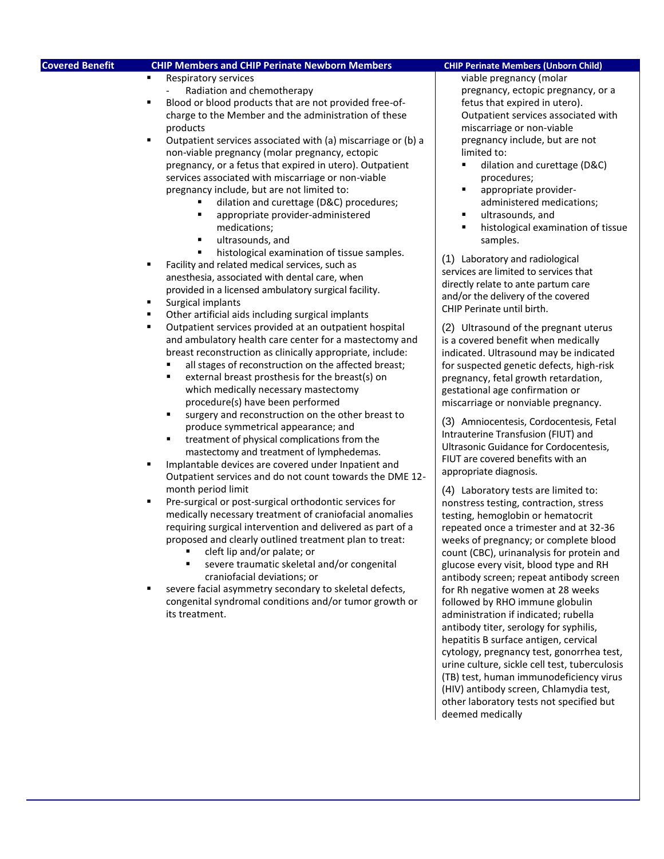| <b>Covered Benefit</b>               | <b>CHIP Members and CHIP Perinate Newborn Members</b>                                                                                                                                                                                                                                                                                                                                                                                                                                                                                                                                                                                                                                                                                                                                                                                                                                                                                                                                                                                                                                                                                                                                                                                                                                                                                                                                                                                                                                                                                                                                                                                                                                                                                                                                                                                                                                                                                                                                                                                                                                                              | <b>CHIP Perinate Members (Unborn Child)</b>                                                                                                                                                                                                                                                                                                                                                                                                                                                                                                                                                                                                                                                                                                                                                                                                                                                                                                                                                                                                                                                                                                                                                                                                                                                                                                                                                                                                                                                                                                                                                                                                                                                                                          |
|--------------------------------------|--------------------------------------------------------------------------------------------------------------------------------------------------------------------------------------------------------------------------------------------------------------------------------------------------------------------------------------------------------------------------------------------------------------------------------------------------------------------------------------------------------------------------------------------------------------------------------------------------------------------------------------------------------------------------------------------------------------------------------------------------------------------------------------------------------------------------------------------------------------------------------------------------------------------------------------------------------------------------------------------------------------------------------------------------------------------------------------------------------------------------------------------------------------------------------------------------------------------------------------------------------------------------------------------------------------------------------------------------------------------------------------------------------------------------------------------------------------------------------------------------------------------------------------------------------------------------------------------------------------------------------------------------------------------------------------------------------------------------------------------------------------------------------------------------------------------------------------------------------------------------------------------------------------------------------------------------------------------------------------------------------------------------------------------------------------------------------------------------------------------|--------------------------------------------------------------------------------------------------------------------------------------------------------------------------------------------------------------------------------------------------------------------------------------------------------------------------------------------------------------------------------------------------------------------------------------------------------------------------------------------------------------------------------------------------------------------------------------------------------------------------------------------------------------------------------------------------------------------------------------------------------------------------------------------------------------------------------------------------------------------------------------------------------------------------------------------------------------------------------------------------------------------------------------------------------------------------------------------------------------------------------------------------------------------------------------------------------------------------------------------------------------------------------------------------------------------------------------------------------------------------------------------------------------------------------------------------------------------------------------------------------------------------------------------------------------------------------------------------------------------------------------------------------------------------------------------------------------------------------------|
| ٠<br>٠<br>٠<br>٠<br>٠<br>٠<br>٠<br>٠ | Respiratory services<br>Radiation and chemotherapy<br>Blood or blood products that are not provided free-of-<br>charge to the Member and the administration of these<br>products<br>Outpatient services associated with (a) miscarriage or (b) a<br>non-viable pregnancy (molar pregnancy, ectopic<br>pregnancy, or a fetus that expired in utero). Outpatient<br>services associated with miscarriage or non-viable<br>pregnancy include, but are not limited to:<br>dilation and curettage (D&C) procedures;<br>appropriate provider-administered<br>٠<br>medications;<br>ultrasounds, and<br>٠<br>Ė<br>histological examination of tissue samples.<br>Facility and related medical services, such as<br>anesthesia, associated with dental care, when<br>provided in a licensed ambulatory surgical facility.<br>Surgical implants<br>Other artificial aids including surgical implants<br>Outpatient services provided at an outpatient hospital<br>and ambulatory health care center for a mastectomy and<br>breast reconstruction as clinically appropriate, include:<br>all stages of reconstruction on the affected breast;<br>external breast prosthesis for the breast(s) on<br>٠<br>which medically necessary mastectomy<br>procedure(s) have been performed<br>П<br>surgery and reconstruction on the other breast to<br>produce symmetrical appearance; and<br>treatment of physical complications from the<br>٠<br>mastectomy and treatment of lymphedemas.<br>Implantable devices are covered under Inpatient and<br>Outpatient services and do not count towards the DME 12-<br>month period limit<br>Pre-surgical or post-surgical orthodontic services for<br>medically necessary treatment of craniofacial anomalies<br>requiring surgical intervention and delivered as part of a<br>proposed and clearly outlined treatment plan to treat:<br>cleft lip and/or palate; or<br>severe traumatic skeletal and/or congenital<br>craniofacial deviations; or<br>severe facial asymmetry secondary to skeletal defects,<br>congenital syndromal conditions and/or tumor growth or<br>its treatment. | viable pregnancy (molar<br>pregnancy, ectopic pregnancy, or a<br>fetus that expired in utero).<br>Outpatient services associated with<br>miscarriage or non-viable<br>pregnancy include, but are not<br>limited to:<br>٠<br>dilation and curettage (D&C)<br>procedures;<br>٠<br>appropriate provider-<br>administered medications;<br>ultrasounds, and<br>٠<br>histological examination of tissue<br>samples.<br>(1) Laboratory and radiological<br>services are limited to services that<br>directly relate to ante partum care<br>and/or the delivery of the covered<br>CHIP Perinate until birth.<br>(2) Ultrasound of the pregnant uterus<br>is a covered benefit when medically<br>indicated. Ultrasound may be indicated<br>for suspected genetic defects, high-risk<br>pregnancy, fetal growth retardation,<br>gestational age confirmation or<br>miscarriage or nonviable pregnancy.<br>(3) Amniocentesis, Cordocentesis, Fetal<br>Intrauterine Transfusion (FIUT) and<br>Ultrasonic Guidance for Cordocentesis,<br>FIUT are covered benefits with an<br>appropriate diagnosis.<br>(4) Laboratory tests are limited to:<br>nonstress testing, contraction, stress<br>testing, hemoglobin or hematocrit<br>repeated once a trimester and at 32-36<br>weeks of pregnancy; or complete blood<br>count (CBC), urinanalysis for protein and<br>glucose every visit, blood type and RH<br>antibody screen; repeat antibody screen<br>for Rh negative women at 28 weeks<br>followed by RHO immune globulin<br>administration if indicated; rubella<br>antibody titer, serology for syphilis,<br>hepatitis B surface antigen, cervical<br>cytology, pregnancy test, gonorrhea test,<br>urine culture, sickle cell test, tuberculosis |
|                                      |                                                                                                                                                                                                                                                                                                                                                                                                                                                                                                                                                                                                                                                                                                                                                                                                                                                                                                                                                                                                                                                                                                                                                                                                                                                                                                                                                                                                                                                                                                                                                                                                                                                                                                                                                                                                                                                                                                                                                                                                                                                                                                                    | (TB) test, human immunodeficiency virus<br>(HIV) antibody screen, Chlamydia test,<br>other laboratory tests not specified but<br>deemed medically                                                                                                                                                                                                                                                                                                                                                                                                                                                                                                                                                                                                                                                                                                                                                                                                                                                                                                                                                                                                                                                                                                                                                                                                                                                                                                                                                                                                                                                                                                                                                                                    |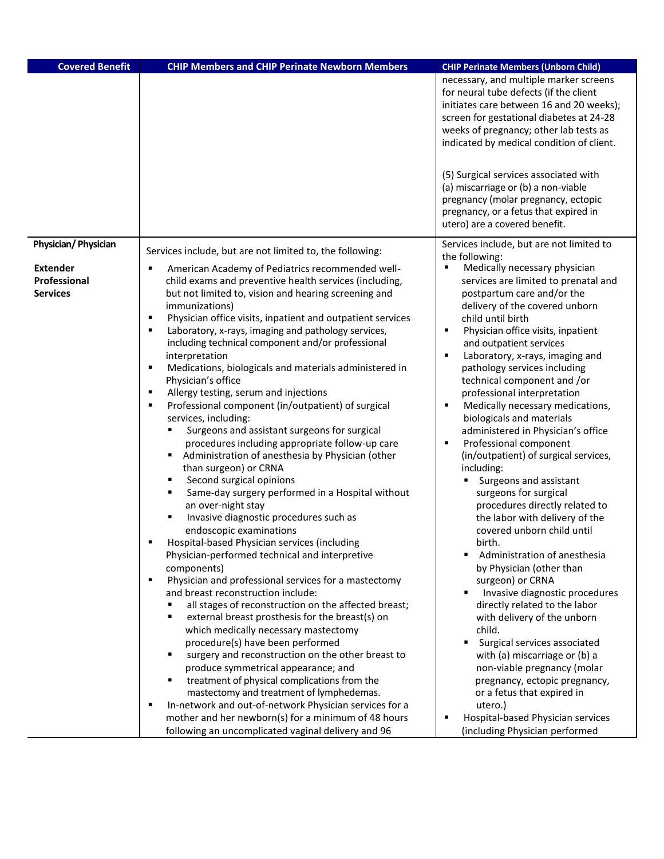| <b>Covered Benefit</b>                             | <b>CHIP Members and CHIP Perinate Newborn Members</b>                                                                                                              | <b>CHIP Perinate Members (Unborn Child)</b>                                                                                                                                                   |
|----------------------------------------------------|--------------------------------------------------------------------------------------------------------------------------------------------------------------------|-----------------------------------------------------------------------------------------------------------------------------------------------------------------------------------------------|
|                                                    |                                                                                                                                                                    | necessary, and multiple marker screens<br>for neural tube defects (if the client<br>initiates care between 16 and 20 weeks);<br>screen for gestational diabetes at 24-28                      |
|                                                    |                                                                                                                                                                    | weeks of pregnancy; other lab tests as<br>indicated by medical condition of client.                                                                                                           |
|                                                    |                                                                                                                                                                    | (5) Surgical services associated with<br>(a) miscarriage or (b) a non-viable<br>pregnancy (molar pregnancy, ectopic<br>pregnancy, or a fetus that expired in<br>utero) are a covered benefit. |
| Physician/ Physician                               | Services include, but are not limited to, the following:                                                                                                           | Services include, but are not limited to                                                                                                                                                      |
| <b>Extender</b><br>Professional<br><b>Services</b> | American Academy of Pediatrics recommended well-<br>child exams and preventive health services (including,<br>but not limited to, vision and hearing screening and | the following:<br>Medically necessary physician<br>п<br>services are limited to prenatal and<br>postpartum care and/or the                                                                    |
|                                                    | immunizations)                                                                                                                                                     | delivery of the covered unborn                                                                                                                                                                |
|                                                    | Physician office visits, inpatient and outpatient services<br>Laboratory, x-rays, imaging and pathology services,                                                  | child until birth<br>Physician office visits, inpatient<br>П                                                                                                                                  |
|                                                    | including technical component and/or professional                                                                                                                  | and outpatient services                                                                                                                                                                       |
|                                                    | interpretation                                                                                                                                                     | $\blacksquare$<br>Laboratory, x-rays, imaging and                                                                                                                                             |
|                                                    | Medications, biologicals and materials administered in<br>Physician's office                                                                                       | pathology services including<br>technical component and /or                                                                                                                                   |
|                                                    | Allergy testing, serum and injections                                                                                                                              | professional interpretation                                                                                                                                                                   |
|                                                    | Professional component (in/outpatient) of surgical                                                                                                                 | Ξ<br>Medically necessary medications,                                                                                                                                                         |
|                                                    | services, including:<br>Surgeons and assistant surgeons for surgical                                                                                               | biologicals and materials<br>administered in Physician's office                                                                                                                               |
|                                                    | procedures including appropriate follow-up care                                                                                                                    | Professional component<br>п                                                                                                                                                                   |
|                                                    | Administration of anesthesia by Physician (other                                                                                                                   | (in/outpatient) of surgical services,                                                                                                                                                         |
|                                                    | than surgeon) or CRNA<br>Second surgical opinions<br>٠                                                                                                             | including:<br>Surgeons and assistant                                                                                                                                                          |
|                                                    | Same-day surgery performed in a Hospital without<br>٠                                                                                                              | surgeons for surgical                                                                                                                                                                         |
|                                                    | an over-night stay                                                                                                                                                 | procedures directly related to                                                                                                                                                                |
|                                                    | Invasive diagnostic procedures such as<br>٠<br>endoscopic examinations                                                                                             | the labor with delivery of the<br>covered unborn child until                                                                                                                                  |
|                                                    | Hospital-based Physician services (including                                                                                                                       | hirth                                                                                                                                                                                         |
|                                                    | Physician-performed technical and interpretive                                                                                                                     | Administration of anesthesia                                                                                                                                                                  |
|                                                    | components)<br>٠                                                                                                                                                   | by Physician (other than                                                                                                                                                                      |
|                                                    | Physician and professional services for a mastectomy<br>and breast reconstruction include:                                                                         | surgeon) or CRNA<br>Invasive diagnostic procedures                                                                                                                                            |
|                                                    | all stages of reconstruction on the affected breast;                                                                                                               | directly related to the labor                                                                                                                                                                 |
|                                                    | external breast prosthesis for the breast(s) on                                                                                                                    | with delivery of the unborn                                                                                                                                                                   |
|                                                    | which medically necessary mastectomy<br>procedure(s) have been performed                                                                                           | child.<br>Surgical services associated                                                                                                                                                        |
|                                                    | surgery and reconstruction on the other breast to<br>٠                                                                                                             | with (a) miscarriage or (b) a                                                                                                                                                                 |
|                                                    | produce symmetrical appearance; and                                                                                                                                | non-viable pregnancy (molar                                                                                                                                                                   |
|                                                    | treatment of physical complications from the<br>٠                                                                                                                  | pregnancy, ectopic pregnancy,                                                                                                                                                                 |
|                                                    | mastectomy and treatment of lymphedemas.<br>In-network and out-of-network Physician services for a                                                                 | or a fetus that expired in<br>utero.)                                                                                                                                                         |
|                                                    | mother and her newborn(s) for a minimum of 48 hours                                                                                                                | Hospital-based Physician services<br>в                                                                                                                                                        |
|                                                    | following an uncomplicated vaginal delivery and 96                                                                                                                 | (including Physician performed                                                                                                                                                                |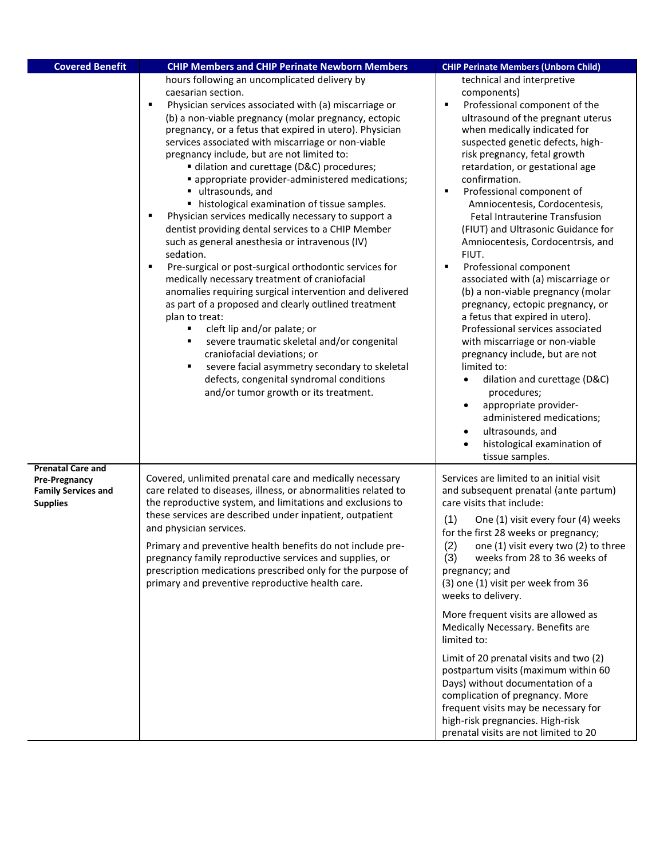| <b>Covered Benefit</b>                                                                            | <b>CHIP Members and CHIP Perinate Newborn Members</b>                                                                                                                                                                                                                                                                                                                                                                                                                                                                                                                                                                                                                                                                                                                                                                                                                                                                                                                                                                                                                                                                                                                                                     | <b>CHIP Perinate Members (Unborn Child)</b>                                                                                                                                                                                                                                                                                                                                                                                                                                                                                                                                                                                                                                                                                                                                                                                                                                                                                                                                                            |
|---------------------------------------------------------------------------------------------------|-----------------------------------------------------------------------------------------------------------------------------------------------------------------------------------------------------------------------------------------------------------------------------------------------------------------------------------------------------------------------------------------------------------------------------------------------------------------------------------------------------------------------------------------------------------------------------------------------------------------------------------------------------------------------------------------------------------------------------------------------------------------------------------------------------------------------------------------------------------------------------------------------------------------------------------------------------------------------------------------------------------------------------------------------------------------------------------------------------------------------------------------------------------------------------------------------------------|--------------------------------------------------------------------------------------------------------------------------------------------------------------------------------------------------------------------------------------------------------------------------------------------------------------------------------------------------------------------------------------------------------------------------------------------------------------------------------------------------------------------------------------------------------------------------------------------------------------------------------------------------------------------------------------------------------------------------------------------------------------------------------------------------------------------------------------------------------------------------------------------------------------------------------------------------------------------------------------------------------|
|                                                                                                   | hours following an uncomplicated delivery by<br>caesarian section.<br>Physician services associated with (a) miscarriage or<br>(b) a non-viable pregnancy (molar pregnancy, ectopic<br>pregnancy, or a fetus that expired in utero). Physician<br>services associated with miscarriage or non-viable<br>pregnancy include, but are not limited to:<br>dilation and curettage (D&C) procedures;<br>" appropriate provider-administered medications;<br>ultrasounds, and<br>histological examination of tissue samples.<br>Physician services medically necessary to support a<br>dentist providing dental services to a CHIP Member<br>such as general anesthesia or intravenous (IV)<br>sedation.<br>Pre-surgical or post-surgical orthodontic services for<br>medically necessary treatment of craniofacial<br>anomalies requiring surgical intervention and delivered<br>as part of a proposed and clearly outlined treatment<br>plan to treat:<br>cleft lip and/or palate; or<br>severe traumatic skeletal and/or congenital<br>٠<br>craniofacial deviations; or<br>severe facial asymmetry secondary to skeletal<br>defects, congenital syndromal conditions<br>and/or tumor growth or its treatment. | technical and interpretive<br>components)<br>Professional component of the<br>п<br>ultrasound of the pregnant uterus<br>when medically indicated for<br>suspected genetic defects, high-<br>risk pregnancy, fetal growth<br>retardation, or gestational age<br>confirmation.<br>Professional component of<br>٠<br>Amniocentesis, Cordocentesis,<br><b>Fetal Intrauterine Transfusion</b><br>(FIUT) and Ultrasonic Guidance for<br>Amniocentesis, Cordocentrsis, and<br>FIUT.<br>٠<br>Professional component<br>associated with (a) miscarriage or<br>(b) a non-viable pregnancy (molar<br>pregnancy, ectopic pregnancy, or<br>a fetus that expired in utero).<br>Professional services associated<br>with miscarriage or non-viable<br>pregnancy include, but are not<br>limited to:<br>dilation and curettage (D&C)<br>$\bullet$<br>procedures;<br>appropriate provider-<br>$\bullet$<br>administered medications;<br>ultrasounds, and<br>$\bullet$<br>histological examination of<br>tissue samples. |
| <b>Prenatal Care and</b><br><b>Pre-Pregnancy</b><br><b>Family Services and</b><br><b>Supplies</b> | Covered, unlimited prenatal care and medically necessary<br>care related to diseases, illness, or abnormalities related to<br>the reproductive system, and limitations and exclusions to<br>these services are described under inpatient, outpatient<br>and physician services.<br>Primary and preventive health benefits do not include pre-<br>pregnancy family reproductive services and supplies, or<br>prescription medications prescribed only for the purpose of<br>primary and preventive reproductive health care.                                                                                                                                                                                                                                                                                                                                                                                                                                                                                                                                                                                                                                                                               | Services are limited to an initial visit<br>and subsequent prenatal (ante partum)<br>care visits that include:<br>(1)<br>One (1) visit every four (4) weeks<br>for the first 28 weeks or pregnancy;<br>(2)<br>one (1) visit every two (2) to three<br>(3)<br>weeks from 28 to 36 weeks of<br>pregnancy; and<br>(3) one (1) visit per week from 36<br>weeks to delivery.<br>More frequent visits are allowed as<br>Medically Necessary. Benefits are<br>limited to:<br>Limit of 20 prenatal visits and two (2)<br>postpartum visits (maximum within 60<br>Days) without documentation of a<br>complication of pregnancy. More<br>frequent visits may be necessary for<br>high-risk pregnancies. High-risk<br>prenatal visits are not limited to 20                                                                                                                                                                                                                                                      |

Γ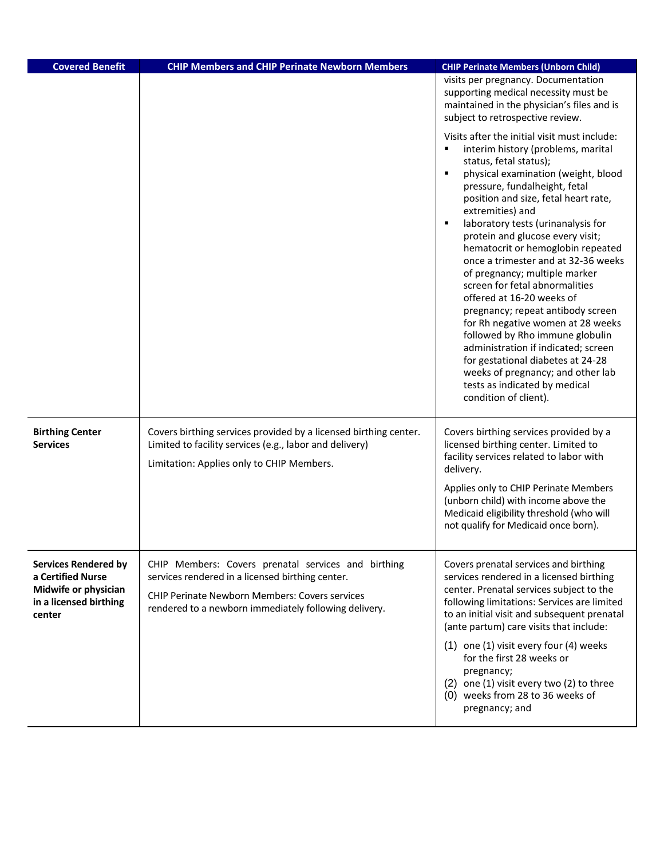| <b>Covered Benefit</b>                                                                                       | <b>CHIP Members and CHIP Perinate Newborn Members</b>                                                                                                                                                                     | <b>CHIP Perinate Members (Unborn Child)</b>                                                                                                                                                                                                                                                                                                                                                                                                                                                                                                                                                                                                                                                                                                                                             |
|--------------------------------------------------------------------------------------------------------------|---------------------------------------------------------------------------------------------------------------------------------------------------------------------------------------------------------------------------|-----------------------------------------------------------------------------------------------------------------------------------------------------------------------------------------------------------------------------------------------------------------------------------------------------------------------------------------------------------------------------------------------------------------------------------------------------------------------------------------------------------------------------------------------------------------------------------------------------------------------------------------------------------------------------------------------------------------------------------------------------------------------------------------|
|                                                                                                              |                                                                                                                                                                                                                           | visits per pregnancy. Documentation<br>supporting medical necessity must be<br>maintained in the physician's files and is<br>subject to retrospective review.<br>Visits after the initial visit must include:                                                                                                                                                                                                                                                                                                                                                                                                                                                                                                                                                                           |
|                                                                                                              |                                                                                                                                                                                                                           | interim history (problems, marital<br>٠<br>status, fetal status);<br>$\blacksquare$<br>physical examination (weight, blood<br>pressure, fundalheight, fetal<br>position and size, fetal heart rate,<br>extremities) and<br>$\blacksquare$<br>laboratory tests (urinanalysis for<br>protein and glucose every visit;<br>hematocrit or hemoglobin repeated<br>once a trimester and at 32-36 weeks<br>of pregnancy; multiple marker<br>screen for fetal abnormalities<br>offered at 16-20 weeks of<br>pregnancy; repeat antibody screen<br>for Rh negative women at 28 weeks<br>followed by Rho immune globulin<br>administration if indicated; screen<br>for gestational diabetes at 24-28<br>weeks of pregnancy; and other lab<br>tests as indicated by medical<br>condition of client). |
| <b>Birthing Center</b><br><b>Services</b>                                                                    | Covers birthing services provided by a licensed birthing center.<br>Limited to facility services (e.g., labor and delivery)<br>Limitation: Applies only to CHIP Members.                                                  | Covers birthing services provided by a<br>licensed birthing center. Limited to<br>facility services related to labor with<br>delivery.                                                                                                                                                                                                                                                                                                                                                                                                                                                                                                                                                                                                                                                  |
|                                                                                                              |                                                                                                                                                                                                                           | Applies only to CHIP Perinate Members<br>(unborn child) with income above the<br>Medicaid eligibility threshold (who will<br>not qualify for Medicaid once born).                                                                                                                                                                                                                                                                                                                                                                                                                                                                                                                                                                                                                       |
| <b>Services Rendered by</b><br>a Certified Nurse<br>Midwife or physician<br>in a licensed birthing<br>center | CHIP Members: Covers prenatal services and birthing<br>services rendered in a licensed birthing center.<br><b>CHIP Perinate Newborn Members: Covers services</b><br>rendered to a newborn immediately following delivery. | Covers prenatal services and birthing<br>services rendered in a licensed birthing<br>center. Prenatal services subject to the<br>following limitations: Services are limited<br>to an initial visit and subsequent prenatal<br>(ante partum) care visits that include:<br>(1) one (1) visit every four (4) weeks<br>for the first 28 weeks or<br>pregnancy;<br>(2) one (1) visit every two (2) to three<br>(0) weeks from 28 to 36 weeks of<br>pregnancy; and                                                                                                                                                                                                                                                                                                                           |
|                                                                                                              |                                                                                                                                                                                                                           |                                                                                                                                                                                                                                                                                                                                                                                                                                                                                                                                                                                                                                                                                                                                                                                         |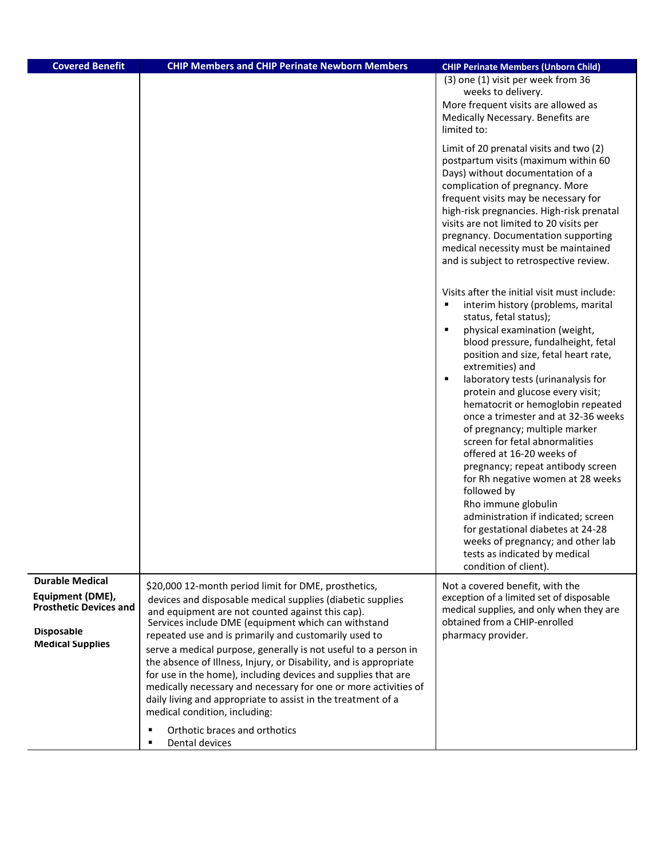| <b>Covered Benefit</b>                            | <b>CHIP Members and CHIP Perinate Newborn Members</b>                                                                                                                                                                                                                    | <b>CHIP Perinate Members (Unborn Child)</b>                                                                                                                                                                                                                                                                                                                                                              |
|---------------------------------------------------|--------------------------------------------------------------------------------------------------------------------------------------------------------------------------------------------------------------------------------------------------------------------------|----------------------------------------------------------------------------------------------------------------------------------------------------------------------------------------------------------------------------------------------------------------------------------------------------------------------------------------------------------------------------------------------------------|
|                                                   |                                                                                                                                                                                                                                                                          | (3) one (1) visit per week from 36<br>weeks to delivery.<br>More frequent visits are allowed as<br>Medically Necessary. Benefits are<br>limited to:<br>Limit of 20 prenatal visits and two (2)<br>postpartum visits (maximum within 60<br>Days) without documentation of a                                                                                                                               |
|                                                   |                                                                                                                                                                                                                                                                          | complication of pregnancy. More<br>frequent visits may be necessary for<br>high-risk pregnancies. High-risk prenatal<br>visits are not limited to 20 visits per<br>pregnancy. Documentation supporting<br>medical necessity must be maintained<br>and is subject to retrospective review.                                                                                                                |
|                                                   |                                                                                                                                                                                                                                                                          | Visits after the initial visit must include:<br>interim history (problems, marital<br>٠<br>status, fetal status);<br>$\blacksquare$<br>physical examination (weight,<br>blood pressure, fundalheight, fetal<br>position and size, fetal heart rate,<br>extremities) and<br>$\blacksquare$<br>laboratory tests (urinanalysis for<br>protein and glucose every visit;<br>hematocrit or hemoglobin repeated |
|                                                   |                                                                                                                                                                                                                                                                          | once a trimester and at 32-36 weeks<br>of pregnancy; multiple marker<br>screen for fetal abnormalities<br>offered at 16-20 weeks of<br>pregnancy; repeat antibody screen<br>for Rh negative women at 28 weeks<br>followed by<br>Rho immune globulin<br>administration if indicated; screen<br>for gestational diabetes at 24-28                                                                          |
|                                                   |                                                                                                                                                                                                                                                                          | weeks of pregnancy; and other lab<br>tests as indicated by medical<br>condition of client).                                                                                                                                                                                                                                                                                                              |
| <b>Durable Medical</b>                            | \$20,000 12-month period limit for DME, prosthetics,                                                                                                                                                                                                                     | Not a covered benefit, with the                                                                                                                                                                                                                                                                                                                                                                          |
| Equipment (DME),<br><b>Prosthetic Devices and</b> | devices and disposable medical supplies (diabetic supplies<br>and equipment are not counted against this cap).<br>Services include DME (equipment which can withstand                                                                                                    | exception of a limited set of disposable<br>medical supplies, and only when they are<br>obtained from a CHIP-enrolled                                                                                                                                                                                                                                                                                    |
| <b>Disposable</b>                                 | repeated use and is primarily and customarily used to                                                                                                                                                                                                                    | pharmacy provider.                                                                                                                                                                                                                                                                                                                                                                                       |
| <b>Medical Supplies</b>                           | serve a medical purpose, generally is not useful to a person in<br>the absence of Illness, Injury, or Disability, and is appropriate<br>for use in the home), including devices and supplies that are<br>medically necessary and necessary for one or more activities of |                                                                                                                                                                                                                                                                                                                                                                                                          |
|                                                   | daily living and appropriate to assist in the treatment of a<br>medical condition, including:                                                                                                                                                                            |                                                                                                                                                                                                                                                                                                                                                                                                          |
|                                                   | Orthotic braces and orthotics<br>Dental devices                                                                                                                                                                                                                          |                                                                                                                                                                                                                                                                                                                                                                                                          |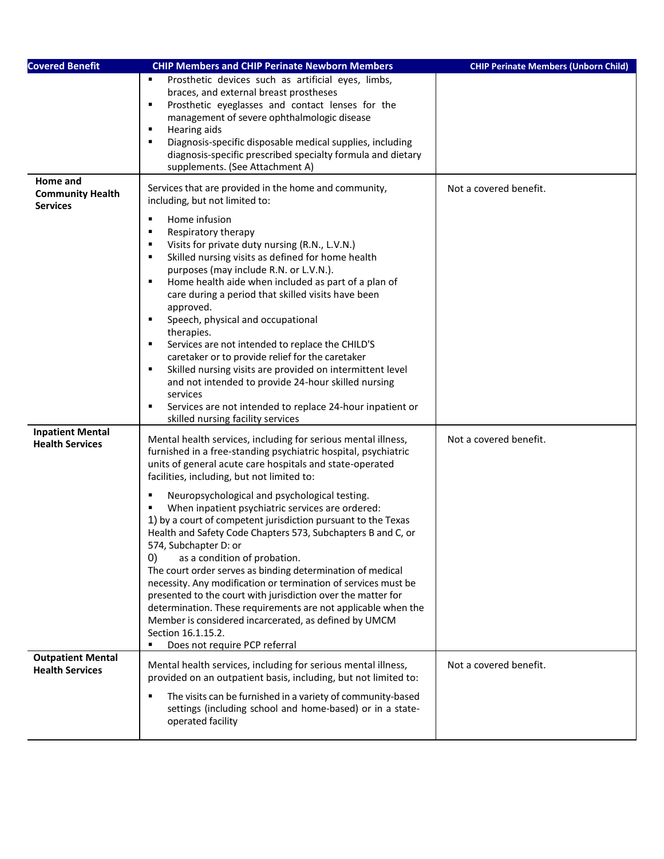| <b>Covered Benefit</b>                                 | <b>CHIP Members and CHIP Perinate Newborn Members</b>                                                                                                                                                                                                                                                                                                                                                                                                                                                                                                                                                                                                                                                                                                                                                                                                                                                                                          | <b>CHIP Perinate Members (Unborn Child)</b> |
|--------------------------------------------------------|------------------------------------------------------------------------------------------------------------------------------------------------------------------------------------------------------------------------------------------------------------------------------------------------------------------------------------------------------------------------------------------------------------------------------------------------------------------------------------------------------------------------------------------------------------------------------------------------------------------------------------------------------------------------------------------------------------------------------------------------------------------------------------------------------------------------------------------------------------------------------------------------------------------------------------------------|---------------------------------------------|
|                                                        | Prosthetic devices such as artificial eyes, limbs,<br>braces, and external breast prostheses<br>Prosthetic eyeglasses and contact lenses for the<br>٠<br>management of severe ophthalmologic disease<br>Hearing aids<br>٠<br>Diagnosis-specific disposable medical supplies, including<br>٠<br>diagnosis-specific prescribed specialty formula and dietary<br>supplements. (See Attachment A)                                                                                                                                                                                                                                                                                                                                                                                                                                                                                                                                                  |                                             |
| Home and<br><b>Community Health</b><br><b>Services</b> | Services that are provided in the home and community,<br>including, but not limited to:<br>Home infusion<br>٠<br>Respiratory therapy<br>٠<br>Visits for private duty nursing (R.N., L.V.N.)<br>$\blacksquare$<br>Skilled nursing visits as defined for home health<br>$\blacksquare$<br>purposes (may include R.N. or L.V.N.).<br>Home health aide when included as part of a plan of<br>٠<br>care during a period that skilled visits have been<br>approved.<br>Speech, physical and occupational<br>therapies.<br>Services are not intended to replace the CHILD'S<br>٠<br>caretaker or to provide relief for the caretaker<br>Skilled nursing visits are provided on intermittent level<br>٠<br>and not intended to provide 24-hour skilled nursing<br>services<br>Services are not intended to replace 24-hour inpatient or<br>٠<br>skilled nursing facility services                                                                      | Not a covered benefit.                      |
| <b>Inpatient Mental</b><br><b>Health Services</b>      | Mental health services, including for serious mental illness,<br>furnished in a free-standing psychiatric hospital, psychiatric<br>units of general acute care hospitals and state-operated<br>facilities, including, but not limited to:<br>Neuropsychological and psychological testing.<br>When inpatient psychiatric services are ordered:<br>1) by a court of competent jurisdiction pursuant to the Texas<br>Health and Safety Code Chapters 573, Subchapters B and C, or<br>574, Subchapter D: or<br>$\left( 0\right)$<br>as a condition of probation.<br>The court order serves as binding determination of medical<br>necessity. Any modification or termination of services must be<br>presented to the court with jurisdiction over the matter for<br>determination. These requirements are not applicable when the<br>Member is considered incarcerated, as defined by UMCM<br>Section 16.1.15.2.<br>Does not require PCP referral | Not a covered benefit.                      |
| <b>Outpatient Mental</b><br><b>Health Services</b>     | Mental health services, including for serious mental illness,<br>provided on an outpatient basis, including, but not limited to:<br>The visits can be furnished in a variety of community-based<br>settings (including school and home-based) or in a state-<br>operated facility                                                                                                                                                                                                                                                                                                                                                                                                                                                                                                                                                                                                                                                              | Not a covered benefit.                      |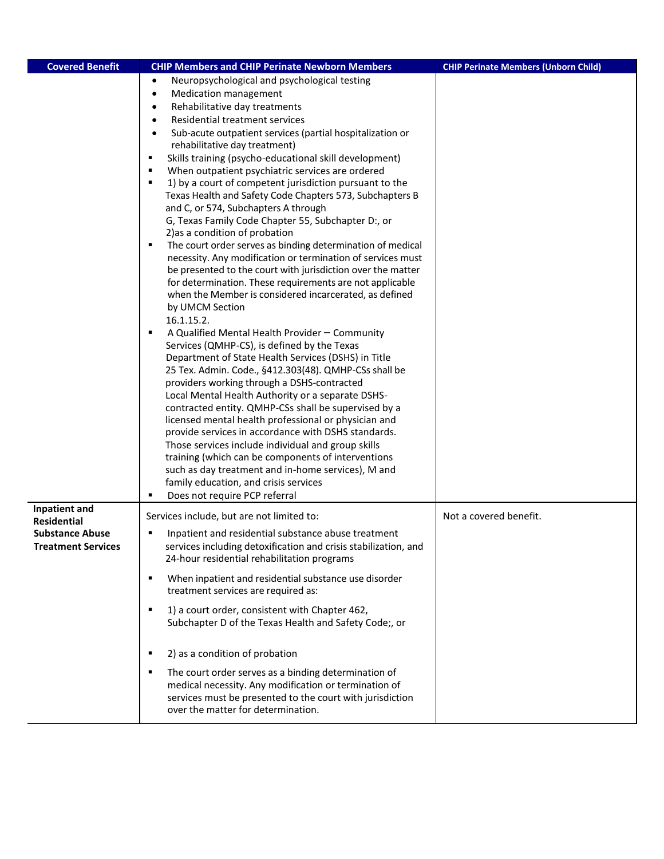| <b>Covered Benefit</b>                                                                     | <b>CHIP Members and CHIP Perinate Newborn Members</b>                                                                                                                                                                                                                                                                                                                                                                                                                                                                                                                                                                                                                                                                                                                                                                                                                                                                                                                                                                                                                                                                                                                                                                                                                                                                                                                                                                                                                                                                                                                                                                                                                                                                                                                             | <b>CHIP Perinate Members (Unborn Child)</b> |
|--------------------------------------------------------------------------------------------|-----------------------------------------------------------------------------------------------------------------------------------------------------------------------------------------------------------------------------------------------------------------------------------------------------------------------------------------------------------------------------------------------------------------------------------------------------------------------------------------------------------------------------------------------------------------------------------------------------------------------------------------------------------------------------------------------------------------------------------------------------------------------------------------------------------------------------------------------------------------------------------------------------------------------------------------------------------------------------------------------------------------------------------------------------------------------------------------------------------------------------------------------------------------------------------------------------------------------------------------------------------------------------------------------------------------------------------------------------------------------------------------------------------------------------------------------------------------------------------------------------------------------------------------------------------------------------------------------------------------------------------------------------------------------------------------------------------------------------------------------------------------------------------|---------------------------------------------|
|                                                                                            | Neuropsychological and psychological testing<br>$\bullet$<br>Medication management<br>$\bullet$<br>Rehabilitative day treatments<br>$\bullet$<br>Residential treatment services<br>$\bullet$<br>Sub-acute outpatient services (partial hospitalization or<br>$\bullet$<br>rehabilitative day treatment)<br>Skills training (psycho-educational skill development)<br>٠<br>When outpatient psychiatric services are ordered<br>1) by a court of competent jurisdiction pursuant to the<br>Texas Health and Safety Code Chapters 573, Subchapters B<br>and C, or 574, Subchapters A through<br>G, Texas Family Code Chapter 55, Subchapter D:, or<br>2) as a condition of probation<br>The court order serves as binding determination of medical<br>٠<br>necessity. Any modification or termination of services must<br>be presented to the court with jurisdiction over the matter<br>for determination. These requirements are not applicable<br>when the Member is considered incarcerated, as defined<br>by UMCM Section<br>16.1.15.2.<br>A Qualified Mental Health Provider - Community<br>Services (QMHP-CS), is defined by the Texas<br>Department of State Health Services (DSHS) in Title<br>25 Tex. Admin. Code., §412.303(48). QMHP-CSs shall be<br>providers working through a DSHS-contracted<br>Local Mental Health Authority or a separate DSHS-<br>contracted entity. QMHP-CSs shall be supervised by a<br>licensed mental health professional or physician and<br>provide services in accordance with DSHS standards.<br>Those services include individual and group skills<br>training (which can be components of interventions<br>such as day treatment and in-home services), M and<br>family education, and crisis services<br>Does not require PCP referral |                                             |
| Inpatient and<br><b>Residential</b><br><b>Substance Abuse</b><br><b>Treatment Services</b> | Services include, but are not limited to:<br>Inpatient and residential substance abuse treatment<br>٠<br>services including detoxification and crisis stabilization, and<br>24-hour residential rehabilitation programs                                                                                                                                                                                                                                                                                                                                                                                                                                                                                                                                                                                                                                                                                                                                                                                                                                                                                                                                                                                                                                                                                                                                                                                                                                                                                                                                                                                                                                                                                                                                                           | Not a covered benefit.                      |
|                                                                                            | When inpatient and residential substance use disorder<br>٠<br>treatment services are required as:<br>1) a court order, consistent with Chapter 462,<br>$\blacksquare$<br>Subchapter D of the Texas Health and Safety Code;, or<br>2) as a condition of probation<br>٠<br>The court order serves as a binding determination of<br>٠                                                                                                                                                                                                                                                                                                                                                                                                                                                                                                                                                                                                                                                                                                                                                                                                                                                                                                                                                                                                                                                                                                                                                                                                                                                                                                                                                                                                                                                |                                             |
|                                                                                            | medical necessity. Any modification or termination of<br>services must be presented to the court with jurisdiction<br>over the matter for determination.                                                                                                                                                                                                                                                                                                                                                                                                                                                                                                                                                                                                                                                                                                                                                                                                                                                                                                                                                                                                                                                                                                                                                                                                                                                                                                                                                                                                                                                                                                                                                                                                                          |                                             |

Γ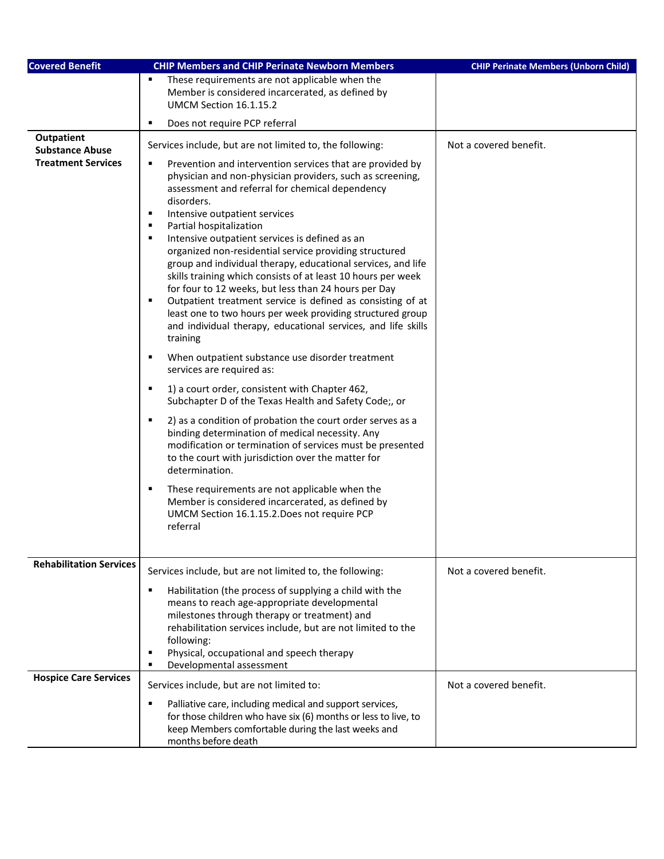| <b>Covered Benefit</b>                      | <b>CHIP Members and CHIP Perinate Newborn Members</b>                                                                                                                                                                                                                                                                                                                                                                                                                                                                                                                                                                                                                                                                                                                                                                                                                                                                                                                                                                                                                                                                                                                                                                                                                                                                                                                                                                                           | <b>CHIP Perinate Members (Unborn Child)</b> |
|---------------------------------------------|-------------------------------------------------------------------------------------------------------------------------------------------------------------------------------------------------------------------------------------------------------------------------------------------------------------------------------------------------------------------------------------------------------------------------------------------------------------------------------------------------------------------------------------------------------------------------------------------------------------------------------------------------------------------------------------------------------------------------------------------------------------------------------------------------------------------------------------------------------------------------------------------------------------------------------------------------------------------------------------------------------------------------------------------------------------------------------------------------------------------------------------------------------------------------------------------------------------------------------------------------------------------------------------------------------------------------------------------------------------------------------------------------------------------------------------------------|---------------------------------------------|
|                                             | These requirements are not applicable when the<br>Member is considered incarcerated, as defined by<br>UMCM Section 16.1.15.2                                                                                                                                                                                                                                                                                                                                                                                                                                                                                                                                                                                                                                                                                                                                                                                                                                                                                                                                                                                                                                                                                                                                                                                                                                                                                                                    |                                             |
|                                             | Does not require PCP referral<br>٠                                                                                                                                                                                                                                                                                                                                                                                                                                                                                                                                                                                                                                                                                                                                                                                                                                                                                                                                                                                                                                                                                                                                                                                                                                                                                                                                                                                                              |                                             |
| <b>Outpatient</b><br><b>Substance Abuse</b> | Services include, but are not limited to, the following:                                                                                                                                                                                                                                                                                                                                                                                                                                                                                                                                                                                                                                                                                                                                                                                                                                                                                                                                                                                                                                                                                                                                                                                                                                                                                                                                                                                        | Not a covered benefit.                      |
| <b>Treatment Services</b>                   | Prevention and intervention services that are provided by<br>٠<br>physician and non-physician providers, such as screening,<br>assessment and referral for chemical dependency<br>disorders.<br>Intensive outpatient services<br>٠<br>Partial hospitalization<br>٠<br>$\blacksquare$<br>Intensive outpatient services is defined as an<br>organized non-residential service providing structured<br>group and individual therapy, educational services, and life<br>skills training which consists of at least 10 hours per week<br>for four to 12 weeks, but less than 24 hours per Day<br>Outpatient treatment service is defined as consisting of at<br>٠<br>least one to two hours per week providing structured group<br>and individual therapy, educational services, and life skills<br>training<br>When outpatient substance use disorder treatment<br>٠<br>services are required as:<br>1) a court order, consistent with Chapter 462,<br>٠<br>Subchapter D of the Texas Health and Safety Code;, or<br>2) as a condition of probation the court order serves as a<br>٠<br>binding determination of medical necessity. Any<br>modification or termination of services must be presented<br>to the court with jurisdiction over the matter for<br>determination.<br>These requirements are not applicable when the<br>٠<br>Member is considered incarcerated, as defined by<br>UMCM Section 16.1.15.2. Does not require PCP<br>referral |                                             |
| <b>Rehabilitation Services</b>              | Services include, but are not limited to, the following:                                                                                                                                                                                                                                                                                                                                                                                                                                                                                                                                                                                                                                                                                                                                                                                                                                                                                                                                                                                                                                                                                                                                                                                                                                                                                                                                                                                        | Not a covered benefit.                      |
|                                             | Habilitation (the process of supplying a child with the<br>п<br>means to reach age-appropriate developmental<br>milestones through therapy or treatment) and<br>rehabilitation services include, but are not limited to the<br>following:<br>Physical, occupational and speech therapy<br>٠<br>Developmental assessment                                                                                                                                                                                                                                                                                                                                                                                                                                                                                                                                                                                                                                                                                                                                                                                                                                                                                                                                                                                                                                                                                                                         |                                             |
| <b>Hospice Care Services</b>                | Services include, but are not limited to:                                                                                                                                                                                                                                                                                                                                                                                                                                                                                                                                                                                                                                                                                                                                                                                                                                                                                                                                                                                                                                                                                                                                                                                                                                                                                                                                                                                                       | Not a covered benefit.                      |
|                                             | Palliative care, including medical and support services,<br>for those children who have six (6) months or less to live, to<br>keep Members comfortable during the last weeks and<br>months before death                                                                                                                                                                                                                                                                                                                                                                                                                                                                                                                                                                                                                                                                                                                                                                                                                                                                                                                                                                                                                                                                                                                                                                                                                                         |                                             |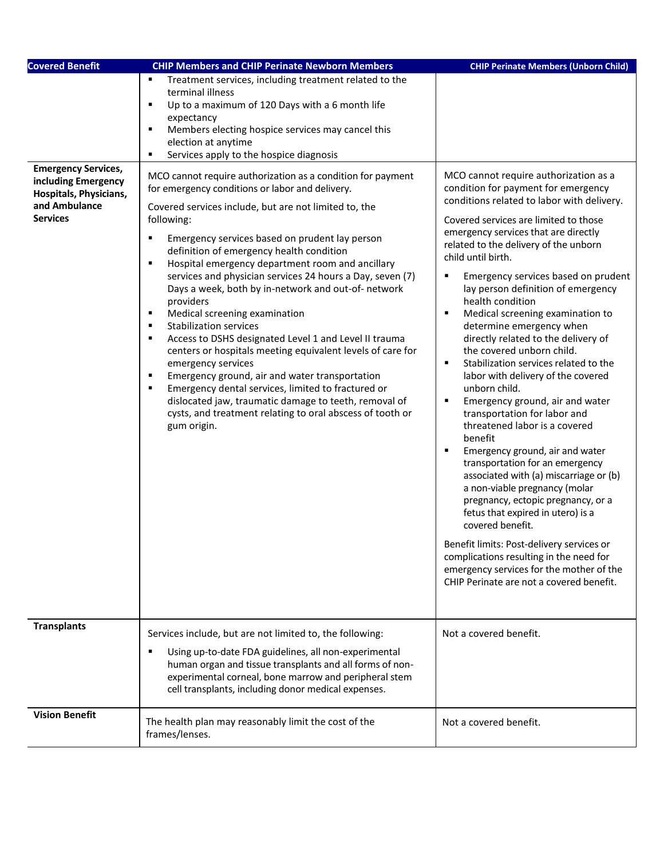| <b>Covered Benefit</b>                                                            | <b>CHIP Members and CHIP Perinate Newborn Members</b>                                                                                                                                                                                                                                                                                                                                                                                                                                                                                                                                                                                                                                                                                                                                                                                                                                                                              | <b>CHIP Perinate Members (Unborn Child)</b>                                                                                                                                                                                                                                                                                                                                                                                                                                                                                                                                                                                                                                                                                                                                                                                                                                                                                                                                                                                                                                                                                                                              |
|-----------------------------------------------------------------------------------|------------------------------------------------------------------------------------------------------------------------------------------------------------------------------------------------------------------------------------------------------------------------------------------------------------------------------------------------------------------------------------------------------------------------------------------------------------------------------------------------------------------------------------------------------------------------------------------------------------------------------------------------------------------------------------------------------------------------------------------------------------------------------------------------------------------------------------------------------------------------------------------------------------------------------------|--------------------------------------------------------------------------------------------------------------------------------------------------------------------------------------------------------------------------------------------------------------------------------------------------------------------------------------------------------------------------------------------------------------------------------------------------------------------------------------------------------------------------------------------------------------------------------------------------------------------------------------------------------------------------------------------------------------------------------------------------------------------------------------------------------------------------------------------------------------------------------------------------------------------------------------------------------------------------------------------------------------------------------------------------------------------------------------------------------------------------------------------------------------------------|
| <b>Emergency Services,</b>                                                        | Treatment services, including treatment related to the<br>terminal illness<br>Up to a maximum of 120 Days with a 6 month life<br>٠<br>expectancy<br>Members electing hospice services may cancel this<br>٠<br>election at anytime<br>Services apply to the hospice diagnosis<br>٠<br>MCO cannot require authorization as a condition for payment                                                                                                                                                                                                                                                                                                                                                                                                                                                                                                                                                                                   | MCO cannot require authorization as a                                                                                                                                                                                                                                                                                                                                                                                                                                                                                                                                                                                                                                                                                                                                                                                                                                                                                                                                                                                                                                                                                                                                    |
| including Emergency<br>Hospitals, Physicians,<br>and Ambulance<br><b>Services</b> | for emergency conditions or labor and delivery.<br>Covered services include, but are not limited to, the<br>following:<br>Emergency services based on prudent lay person<br>٠<br>definition of emergency health condition<br>Hospital emergency department room and ancillary<br>٠<br>services and physician services 24 hours a Day, seven (7)<br>Days a week, both by in-network and out-of- network<br>providers<br>Medical screening examination<br>٠<br><b>Stabilization services</b><br>$\blacksquare$<br>Access to DSHS designated Level 1 and Level II trauma<br>٠<br>centers or hospitals meeting equivalent levels of care for<br>emergency services<br>Emergency ground, air and water transportation<br>٠<br>Emergency dental services, limited to fractured or<br>$\blacksquare$<br>dislocated jaw, traumatic damage to teeth, removal of<br>cysts, and treatment relating to oral abscess of tooth or<br>gum origin. | condition for payment for emergency<br>conditions related to labor with delivery.<br>Covered services are limited to those<br>emergency services that are directly<br>related to the delivery of the unborn<br>child until birth.<br>٠<br>Emergency services based on prudent<br>lay person definition of emergency<br>health condition<br>Medical screening examination to<br>٠<br>determine emergency when<br>directly related to the delivery of<br>the covered unborn child.<br>$\blacksquare$<br>Stabilization services related to the<br>labor with delivery of the covered<br>unborn child.<br>Emergency ground, air and water<br>$\blacksquare$<br>transportation for labor and<br>threatened labor is a covered<br>benefit<br>Emergency ground, air and water<br>٠<br>transportation for an emergency<br>associated with (a) miscarriage or (b)<br>a non-viable pregnancy (molar<br>pregnancy, ectopic pregnancy, or a<br>fetus that expired in utero) is a<br>covered benefit.<br>Benefit limits: Post-delivery services or<br>complications resulting in the need for<br>emergency services for the mother of the<br>CHIP Perinate are not a covered benefit. |
| <b>Transplants</b>                                                                | Services include, but are not limited to, the following:<br>Using up-to-date FDA guidelines, all non-experimental<br>human organ and tissue transplants and all forms of non-<br>experimental corneal, bone marrow and peripheral stem<br>cell transplants, including donor medical expenses.                                                                                                                                                                                                                                                                                                                                                                                                                                                                                                                                                                                                                                      | Not a covered benefit.                                                                                                                                                                                                                                                                                                                                                                                                                                                                                                                                                                                                                                                                                                                                                                                                                                                                                                                                                                                                                                                                                                                                                   |
| <b>Vision Benefit</b>                                                             | The health plan may reasonably limit the cost of the<br>frames/lenses.                                                                                                                                                                                                                                                                                                                                                                                                                                                                                                                                                                                                                                                                                                                                                                                                                                                             | Not a covered benefit.                                                                                                                                                                                                                                                                                                                                                                                                                                                                                                                                                                                                                                                                                                                                                                                                                                                                                                                                                                                                                                                                                                                                                   |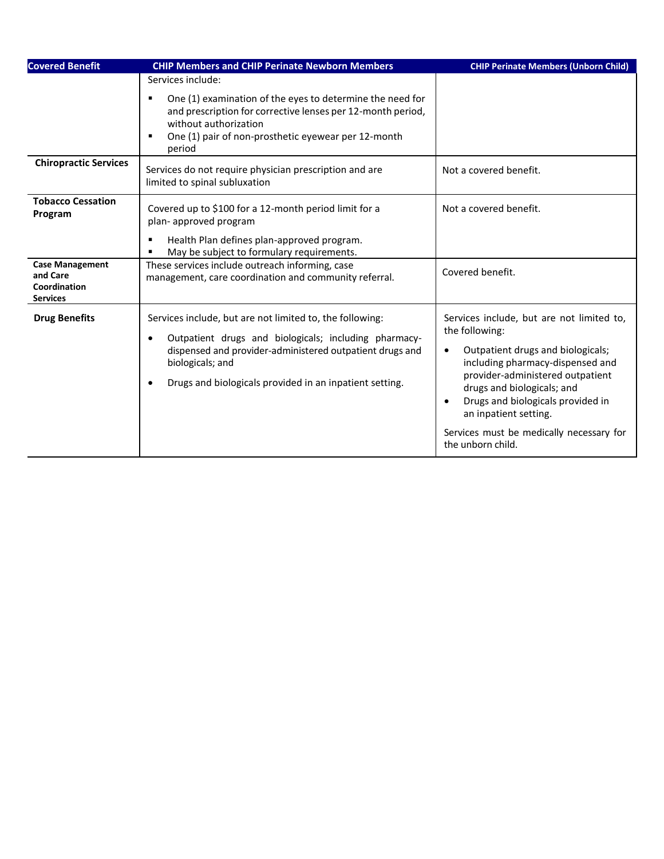| <b>Covered Benefit</b>                                                | <b>CHIP Members and CHIP Perinate Newborn Members</b>                                                                                                                                                                                                                                  | <b>CHIP Perinate Members (Unborn Child)</b>                                                                                                                                                                                                                                                                                                                     |
|-----------------------------------------------------------------------|----------------------------------------------------------------------------------------------------------------------------------------------------------------------------------------------------------------------------------------------------------------------------------------|-----------------------------------------------------------------------------------------------------------------------------------------------------------------------------------------------------------------------------------------------------------------------------------------------------------------------------------------------------------------|
|                                                                       | Services include:                                                                                                                                                                                                                                                                      |                                                                                                                                                                                                                                                                                                                                                                 |
|                                                                       | One (1) examination of the eyes to determine the need for<br>٠<br>and prescription for corrective lenses per 12-month period,<br>without authorization<br>One (1) pair of non-prosthetic eyewear per 12-month<br>٠<br>period                                                           |                                                                                                                                                                                                                                                                                                                                                                 |
| <b>Chiropractic Services</b>                                          | Services do not require physician prescription and are<br>limited to spinal subluxation                                                                                                                                                                                                | Not a covered benefit.                                                                                                                                                                                                                                                                                                                                          |
| <b>Tobacco Cessation</b><br>Program                                   | Covered up to \$100 for a 12-month period limit for a<br>plan- approved program                                                                                                                                                                                                        | Not a covered benefit.                                                                                                                                                                                                                                                                                                                                          |
|                                                                       | Health Plan defines plan-approved program.<br>May be subject to formulary requirements.                                                                                                                                                                                                |                                                                                                                                                                                                                                                                                                                                                                 |
| <b>Case Management</b><br>and Care<br>Coordination<br><b>Services</b> | These services include outreach informing, case<br>management, care coordination and community referral.                                                                                                                                                                               | Covered benefit.                                                                                                                                                                                                                                                                                                                                                |
| <b>Drug Benefits</b>                                                  | Services include, but are not limited to, the following:<br>Outpatient drugs and biologicals; including pharmacy-<br>$\bullet$<br>dispensed and provider-administered outpatient drugs and<br>biologicals; and<br>Drugs and biologicals provided in an inpatient setting.<br>$\bullet$ | Services include, but are not limited to,<br>the following:<br>Outpatient drugs and biologicals;<br>$\bullet$<br>including pharmacy-dispensed and<br>provider-administered outpatient<br>drugs and biologicals; and<br>Drugs and biologicals provided in<br>$\bullet$<br>an inpatient setting.<br>Services must be medically necessary for<br>the unborn child. |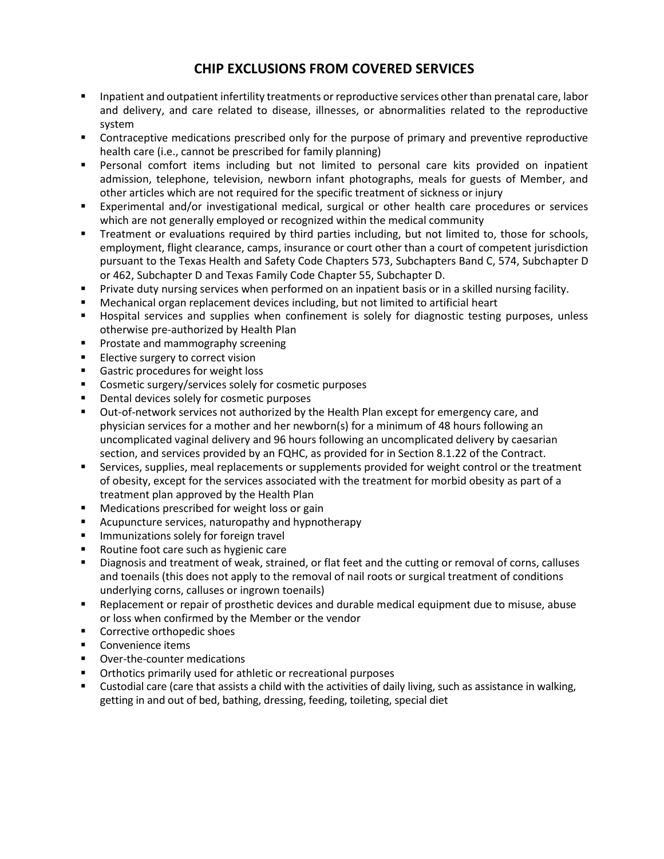## **CHIP EXCLUSIONS FROM COVERED SERVICES**

- **Inpatient and outpatient infertility treatments or reproductive services other than prenatal care, labor** and delivery, and care related to disease, illnesses, or abnormalities related to the reproductive system
- **•** Contraceptive medications prescribed only for the purpose of primary and preventive reproductive health care (i.e., cannot be prescribed for family planning)
- Personal comfort items including but not limited to personal care kits provided on inpatient admission, telephone, television, newborn infant photographs, meals for guests of Member, and other articles which are not required for the specific treatment of sickness or injury
- Experimental and/or investigational medical, surgical or other health care procedures or services which are not generally employed or recognized within the medical community
- Treatment or evaluations required by third parties including, but not limited to, those for schools, employment, flight clearance, camps, insurance or court other than a court of competent jurisdiction pursuant to the Texas Health and Safety Code Chapters 573, Subchapters Band C, 574, Subchapter D or 462, Subchapter D and Texas Family Code Chapter 55, Subchapter D.
- Private duty nursing services when performed on an inpatient basis or in a skilled nursing facility.
- Mechanical organ replacement devices including, but not limited to artificial heart
- **EXT** Hospital services and supplies when confinement is solely for diagnostic testing purposes, unless otherwise pre-authorized by Health Plan
- **Prostate and mammography screening**
- **Elective surgery to correct vision**
- Gastric procedures for weight loss
- **EXECOSMET COSMET COSMET COSMET COSMET COSMET COSMET COSMET COSMET COSMET COSMET COSMET COSMET COSMET COSMET COSMET COSMET COSMET COSMET COSMET COSMET COSMET COSMET COSMET COSMET COSMET COSMET COSMET COSMET COSMET COSMET C**
- Dental devices solely for cosmetic purposes
- Out-of-network services not authorized by the Health Plan except for emergency care, and physician services for a mother and her newborn(s) for a minimum of 48 hours following an uncomplicated vaginal delivery and 96 hours following an uncomplicated delivery by caesarian section, and services provided by an FQHC, as provided for in Section 8.1.22 of the Contract.
- Services, supplies, meal replacements or supplements provided for weight control or the treatment of obesity, except for the services associated with the treatment for morbid obesity as part of a treatment plan approved by the Health Plan
- Medications prescribed for weight loss or gain
- **EXTERCH Acupuncture services, naturopathy and hypnotherapy**
- **Immunizations solely for foreign travelly**
- Routine foot care such as hygienic care
- Diagnosis and treatment of weak, strained, or flat feet and the cutting or removal of corns, calluses and toenails (this does not apply to the removal of nail roots or surgical treatment of conditions underlying corns, calluses or ingrown toenails)
- Replacement or repair of prosthetic devices and durable medical equipment due to misuse, abuse or loss when confirmed by the Member or the vendor
- Corrective orthopedic shoes
- **Convenience items**
- Over-the-counter medications
- **•** Orthotics primarily used for athletic or recreational purposes
- Custodial care (care that assists a child with the activities of daily living, such as assistance in walking, getting in and out of bed, bathing, dressing, feeding, toileting, special diet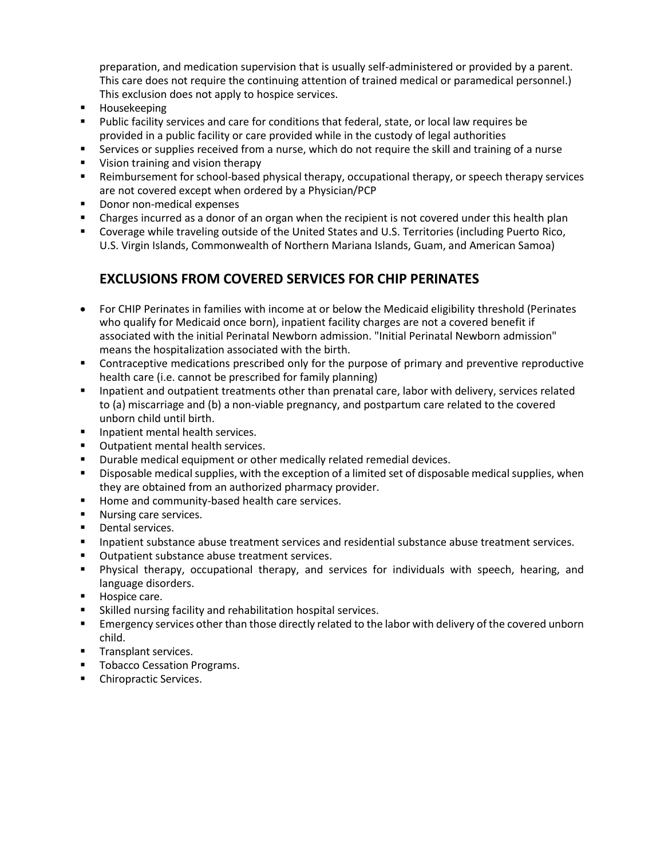preparation, and medication supervision that is usually self-administered or provided by a parent. This care does not require the continuing attention of trained medical or paramedical personnel.) This exclusion does not apply to hospice services.

- **Housekeeping**
- Public facility services and care for conditions that federal, state, or local law requires be provided in a public facility or care provided while in the custody of legal authorities
- Services or supplies received from a nurse, which do not require the skill and training of a nurse
- **Vision training and vision therapy**
- Reimbursement for school-based physical therapy, occupational therapy, or speech therapy services are not covered except when ordered by a Physician/PCP
- Donor non-medical expenses
- Charges incurred as a donor of an organ when the recipient is not covered under this health plan
- Coverage while traveling outside of the United States and U.S. Territories (including Puerto Rico, U.S. Virgin Islands, Commonwealth of Northern Mariana Islands, Guam, and American Samoa)

## **EXCLUSIONS FROM COVERED SERVICES FOR CHIP PERINATES**

- For CHIP Perinates in families with income at or below the Medicaid eligibility threshold (Perinates who qualify for Medicaid once born), inpatient facility charges are not a covered benefit if associated with the initial Perinatal Newborn admission. "Initial Perinatal Newborn admission" means the hospitalization associated with the birth.
- **Contraceptive medications prescribed only for the purpose of primary and preventive reproductive** health care (i.e. cannot be prescribed for family planning)
- Inpatient and outpatient treatments other than prenatal care, labor with delivery, services related to (a) miscarriage and (b) a non-viable pregnancy, and postpartum care related to the covered unborn child until birth.
- **Inpatient mental health services.**
- **•** Outpatient mental health services.
- **Durable medical equipment or other medically related remedial devices.**
- Disposable medical supplies, with the exception of a limited set of disposable medical supplies, when they are obtained from an authorized pharmacy provider.
- Home and community-based health care services.
- **Nursing care services.**
- **Dental services.**
- **Inpatient substance abuse treatment services and residential substance abuse treatment services.**
- Outpatient substance abuse treatment services.
- Physical therapy, occupational therapy, and services for individuals with speech, hearing, and language disorders.
- **Hospice care.**
- Skilled nursing facility and rehabilitation hospital services.
- **Emergency services other than those directly related to the labor with delivery of the covered unborn** child.
- **Transplant services.**
- **Tobacco Cessation Programs.**
- **•** Chiropractic Services.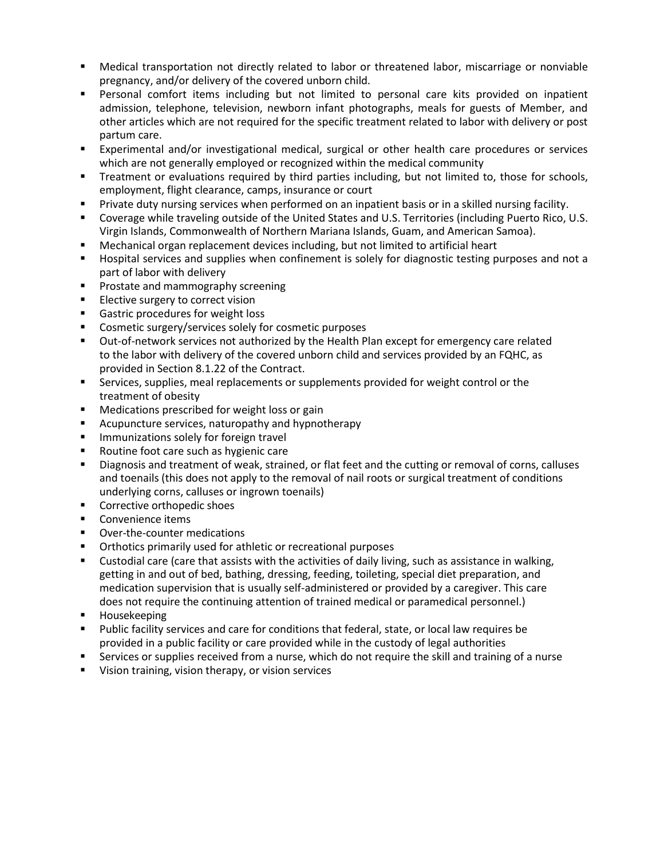- Medical transportation not directly related to labor or threatened labor, miscarriage or nonviable pregnancy, and/or delivery of the covered unborn child.
- Personal comfort items including but not limited to personal care kits provided on inpatient admission, telephone, television, newborn infant photographs, meals for guests of Member, and other articles which are not required for the specific treatment related to labor with delivery or post partum care.
- Experimental and/or investigational medical, surgical or other health care procedures or services which are not generally employed or recognized within the medical community
- Treatment or evaluations required by third parties including, but not limited to, those for schools, employment, flight clearance, camps, insurance or court
- Private duty nursing services when performed on an inpatient basis or in a skilled nursing facility.
- Coverage while traveling outside of the United States and U.S. Territories (including Puerto Rico, U.S. Virgin Islands, Commonwealth of Northern Mariana Islands, Guam, and American Samoa).
- Mechanical organ replacement devices including, but not limited to artificial heart
- **Hospital services and supplies when confinement is solely for diagnostic testing purposes and not a** part of labor with delivery
- **Prostate and mammography screening**
- **Elective surgery to correct vision**
- Gastric procedures for weight loss
- **Cosmetic surgery/services solely for cosmetic purposes**
- Out-of-network services not authorized by the Health Plan except for emergency care related to the labor with delivery of the covered unborn child and services provided by an FQHC, as provided in Section 8.1.22 of the Contract.
- Services, supplies, meal replacements or supplements provided for weight control or the treatment of obesity
- **Medications prescribed for weight loss or gain**
- **E** Acupuncture services, naturopathy and hypnotherapy
- **Immunizations solely for foreign travel**
- Routine foot care such as hygienic care
- Diagnosis and treatment of weak, strained, or flat feet and the cutting or removal of corns, calluses and toenails (this does not apply to the removal of nail roots or surgical treatment of conditions underlying corns, calluses or ingrown toenails)
- **Corrective orthopedic shoes**
- Convenience items
- Over-the-counter medications
- **•** Orthotics primarily used for athletic or recreational purposes
- Custodial care (care that assists with the activities of daily living, such as assistance in walking, getting in and out of bed, bathing, dressing, feeding, toileting, special diet preparation, and medication supervision that is usually self-administered or provided by a caregiver. This care does not require the continuing attention of trained medical or paramedical personnel.)
- Housekeeping
- Public facility services and care for conditions that federal, state, or local law requires be provided in a public facility or care provided while in the custody of legal authorities
- Services or supplies received from a nurse, which do not require the skill and training of a nurse
- **Vision training, vision therapy, or vision services**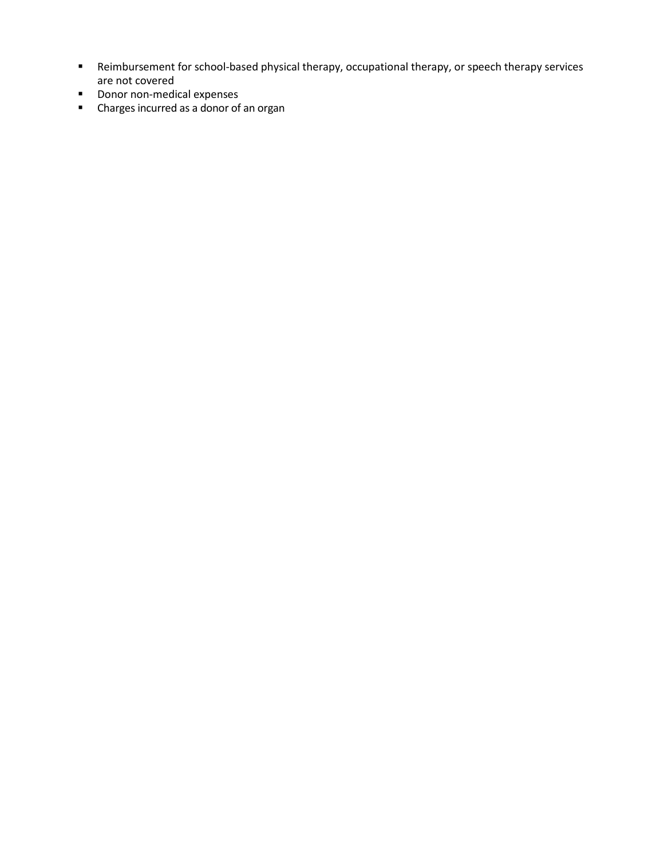- Reimbursement for school-based physical therapy, occupational therapy, or speech therapy services are not covered
- **Donor non-medical expenses**
- Charges incurred as a donor of an organ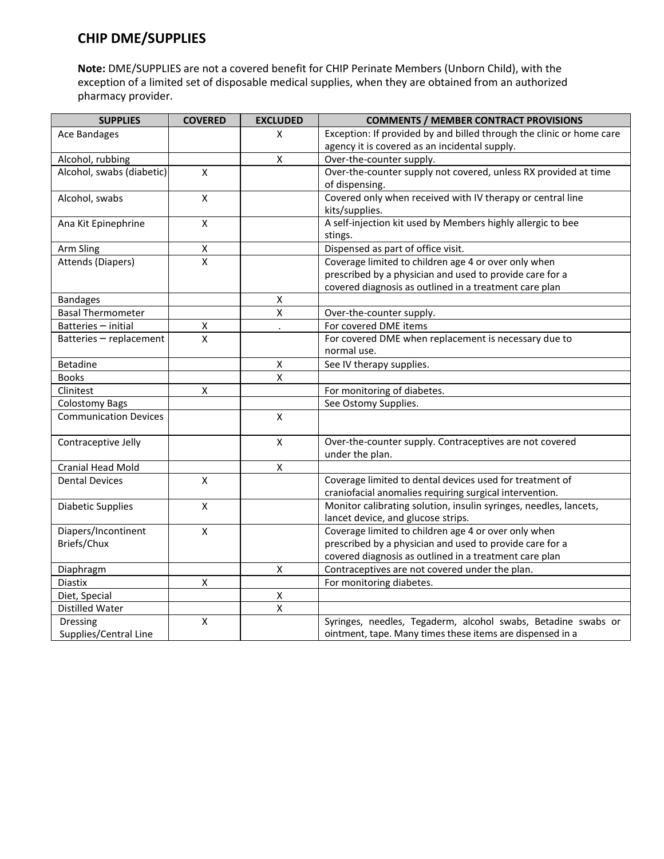## **CHIP DME/SUPPLIES**

**Note:** DME/SUPPLIES are not a covered benefit for CHIP Perinate Members (Unborn Child), with the exception of a limited set of disposable medical supplies, when they are obtained from an authorized pharmacy provider.

| <b>SUPPLIES</b>              | <b>COVERED</b>          | <b>EXCLUDED</b>         | <b>COMMENTS / MEMBER CONTRACT PROVISIONS</b>                         |
|------------------------------|-------------------------|-------------------------|----------------------------------------------------------------------|
| <b>Ace Bandages</b>          |                         | X                       | Exception: If provided by and billed through the clinic or home care |
|                              |                         |                         | agency it is covered as an incidental supply.                        |
| Alcohol, rubbing             |                         | $\pmb{\mathsf{X}}$      | Over-the-counter supply.                                             |
| Alcohol, swabs (diabetic)    | $\mathsf{x}$            |                         | Over-the-counter supply not covered, unless RX provided at time      |
|                              |                         |                         | of dispensing.                                                       |
| Alcohol, swabs               | $\mathsf{X}$            |                         | Covered only when received with IV therapy or central line           |
|                              |                         |                         | kits/supplies.                                                       |
| Ana Kit Epinephrine          | X                       |                         | A self-injection kit used by Members highly allergic to bee          |
|                              |                         |                         | stings.                                                              |
| Arm Sling                    | $\pmb{\mathsf{X}}$      |                         | Dispensed as part of office visit.                                   |
| <b>Attends (Diapers)</b>     | $\overline{\mathsf{x}}$ |                         | Coverage limited to children age 4 or over only when                 |
|                              |                         |                         | prescribed by a physician and used to provide care for a             |
|                              |                         |                         | covered diagnosis as outlined in a treatment care plan               |
| <b>Bandages</b>              |                         | X                       |                                                                      |
| <b>Basal Thermometer</b>     |                         | $\overline{\mathsf{x}}$ | Over-the-counter supply.                                             |
| Batteries - initial          | Χ                       |                         | For covered DME items                                                |
| Batteries - replacement      | $\overline{x}$          |                         | For covered DME when replacement is necessary due to                 |
|                              |                         |                         | normal use.                                                          |
| <b>Betadine</b>              |                         | X                       | See IV therapy supplies.                                             |
| <b>Books</b>                 |                         | $\pmb{\mathsf{X}}$      |                                                                      |
| Clinitest                    | $\pmb{\mathsf{X}}$      |                         | For monitoring of diabetes.                                          |
| <b>Colostomy Bags</b>        |                         |                         | See Ostomy Supplies.                                                 |
| <b>Communication Devices</b> |                         | $\pmb{\mathsf{X}}$      |                                                                      |
|                              |                         |                         |                                                                      |
| Contraceptive Jelly          |                         | $\mathsf{x}$            | Over-the-counter supply. Contraceptives are not covered              |
|                              |                         |                         | under the plan.                                                      |
| <b>Cranial Head Mold</b>     |                         | $\pmb{\mathsf{X}}$      |                                                                      |
| <b>Dental Devices</b>        | $\mathsf{X}$            |                         | Coverage limited to dental devices used for treatment of             |
|                              |                         |                         | craniofacial anomalies requiring surgical intervention.              |
| <b>Diabetic Supplies</b>     | $\mathsf{X}$            |                         | Monitor calibrating solution, insulin syringes, needles, lancets,    |
|                              |                         |                         | lancet device, and glucose strips.                                   |
| Diapers/Incontinent          | $\pmb{\mathsf{X}}$      |                         | Coverage limited to children age 4 or over only when                 |
| Briefs/Chux                  |                         |                         | prescribed by a physician and used to provide care for a             |
|                              |                         |                         | covered diagnosis as outlined in a treatment care plan               |
| Diaphragm                    |                         | $\pmb{\mathsf{X}}$      | Contraceptives are not covered under the plan.                       |
| Diastix                      | Χ                       |                         | For monitoring diabetes.                                             |
| Diet, Special                |                         | $\pmb{\mathsf{X}}$      |                                                                      |
| Distilled Water              |                         | $\pmb{\mathsf{X}}$      |                                                                      |
| Dressing                     | Χ                       |                         | Syringes, needles, Tegaderm, alcohol swabs, Betadine swabs or        |
| Supplies/Central Line        |                         |                         | ointment, tape. Many times these items are dispensed in a            |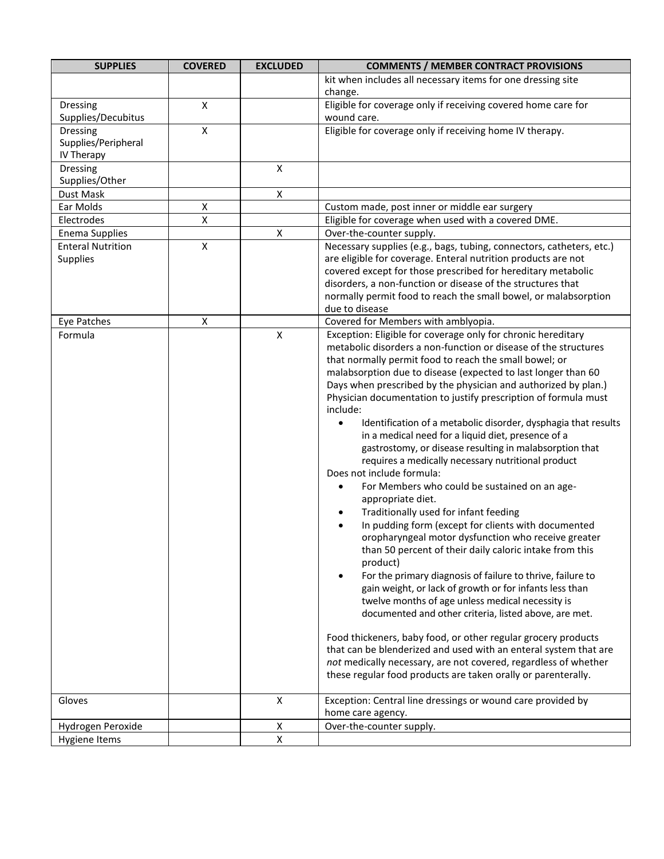| <b>SUPPLIES</b>                | <b>COVERED</b>     | <b>EXCLUDED</b>    | <b>COMMENTS / MEMBER CONTRACT PROVISIONS</b>                                                                                  |
|--------------------------------|--------------------|--------------------|-------------------------------------------------------------------------------------------------------------------------------|
|                                |                    |                    | kit when includes all necessary items for one dressing site                                                                   |
|                                |                    |                    | change.                                                                                                                       |
| Dressing<br>Supplies/Decubitus | $\pmb{\times}$     |                    | Eligible for coverage only if receiving covered home care for<br>wound care.                                                  |
| <b>Dressing</b>                | $\pmb{\mathsf{X}}$ |                    | Eligible for coverage only if receiving home IV therapy.                                                                      |
| Supplies/Peripheral            |                    |                    |                                                                                                                               |
| IV Therapy                     |                    |                    |                                                                                                                               |
| Dressing                       |                    | $\pmb{\mathsf{X}}$ |                                                                                                                               |
| Supplies/Other                 |                    |                    |                                                                                                                               |
| Dust Mask                      |                    | $\pmb{\mathsf{X}}$ |                                                                                                                               |
| Ear Molds                      | $\mathsf X$        |                    | Custom made, post inner or middle ear surgery                                                                                 |
| Electrodes                     | $\pmb{\mathsf{X}}$ |                    | Eligible for coverage when used with a covered DME.                                                                           |
| <b>Enema Supplies</b>          |                    | $\pmb{\mathsf{X}}$ | Over-the-counter supply.                                                                                                      |
| <b>Enteral Nutrition</b>       | $\pmb{\mathsf{X}}$ |                    | Necessary supplies (e.g., bags, tubing, connectors, catheters, etc.)                                                          |
| Supplies                       |                    |                    | are eligible for coverage. Enteral nutrition products are not<br>covered except for those prescribed for hereditary metabolic |
|                                |                    |                    | disorders, a non-function or disease of the structures that                                                                   |
|                                |                    |                    | normally permit food to reach the small bowel, or malabsorption                                                               |
|                                |                    |                    | due to disease                                                                                                                |
| Eye Patches                    | X                  |                    | Covered for Members with amblyopia.                                                                                           |
| Formula                        |                    | X                  | Exception: Eligible for coverage only for chronic hereditary                                                                  |
|                                |                    |                    | metabolic disorders a non-function or disease of the structures                                                               |
|                                |                    |                    | that normally permit food to reach the small bowel; or                                                                        |
|                                |                    |                    | malabsorption due to disease (expected to last longer than 60                                                                 |
|                                |                    |                    | Days when prescribed by the physician and authorized by plan.)                                                                |
|                                |                    |                    | Physician documentation to justify prescription of formula must                                                               |
|                                |                    |                    | include:                                                                                                                      |
|                                |                    |                    | Identification of a metabolic disorder, dysphagia that results<br>in a medical need for a liquid diet, presence of a          |
|                                |                    |                    | gastrostomy, or disease resulting in malabsorption that                                                                       |
|                                |                    |                    | requires a medically necessary nutritional product                                                                            |
|                                |                    |                    | Does not include formula:                                                                                                     |
|                                |                    |                    | For Members who could be sustained on an age-<br>$\bullet$                                                                    |
|                                |                    |                    | appropriate diet.                                                                                                             |
|                                |                    |                    | Traditionally used for infant feeding<br>$\bullet$                                                                            |
|                                |                    |                    | In pudding form (except for clients with documented<br>$\bullet$                                                              |
|                                |                    |                    | oropharyngeal motor dysfunction who receive greater                                                                           |
|                                |                    |                    | than 50 percent of their daily caloric intake from this                                                                       |
|                                |                    |                    | product)                                                                                                                      |
|                                |                    |                    | For the primary diagnosis of failure to thrive, failure to<br>$\bullet$                                                       |
|                                |                    |                    | gain weight, or lack of growth or for infants less than                                                                       |
|                                |                    |                    | twelve months of age unless medical necessity is<br>documented and other criteria, listed above, are met.                     |
|                                |                    |                    |                                                                                                                               |
|                                |                    |                    | Food thickeners, baby food, or other regular grocery products                                                                 |
|                                |                    |                    | that can be blenderized and used with an enteral system that are                                                              |
|                                |                    |                    | not medically necessary, are not covered, regardless of whether                                                               |
|                                |                    |                    | these regular food products are taken orally or parenterally.                                                                 |
| Gloves                         |                    | X                  | Exception: Central line dressings or wound care provided by                                                                   |
|                                |                    |                    | home care agency.                                                                                                             |
| Hydrogen Peroxide              |                    | Χ                  | Over-the-counter supply.                                                                                                      |
| <b>Hygiene Items</b>           |                    | X                  |                                                                                                                               |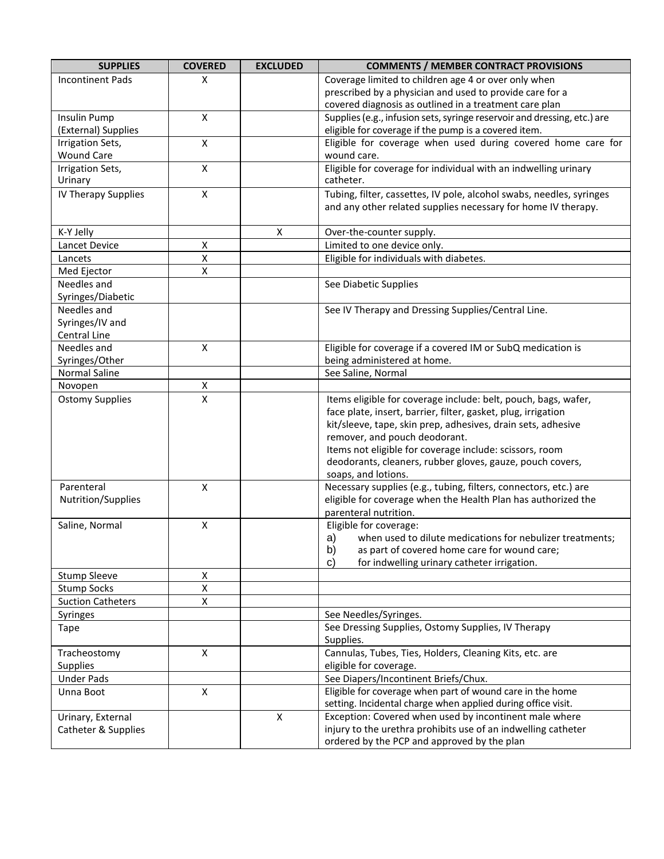| <b>SUPPLIES</b>          | <b>COVERED</b>          | <b>EXCLUDED</b> | <b>COMMENTS / MEMBER CONTRACT PROVISIONS</b>                                     |
|--------------------------|-------------------------|-----------------|----------------------------------------------------------------------------------|
| <b>Incontinent Pads</b>  | Χ                       |                 | Coverage limited to children age 4 or over only when                             |
|                          |                         |                 | prescribed by a physician and used to provide care for a                         |
|                          |                         |                 | covered diagnosis as outlined in a treatment care plan                           |
| Insulin Pump             | $\mathsf{X}$            |                 | Supplies (e.g., infusion sets, syringe reservoir and dressing, etc.) are         |
| (External) Supplies      |                         |                 | eligible for coverage if the pump is a covered item.                             |
| Irrigation Sets,         | $\pmb{\times}$          |                 | Eligible for coverage when used during covered home care for                     |
| <b>Wound Care</b>        |                         |                 | wound care.                                                                      |
| Irrigation Sets,         | $\overline{\mathsf{x}}$ |                 | Eligible for coverage for individual with an indwelling urinary                  |
| Urinary                  |                         |                 | catheter.                                                                        |
| IV Therapy Supplies      | $\pmb{\mathsf{X}}$      |                 | Tubing, filter, cassettes, IV pole, alcohol swabs, needles, syringes             |
|                          |                         |                 | and any other related supplies necessary for home IV therapy.                    |
| K-Y Jelly                |                         | Χ               | Over-the-counter supply.                                                         |
| Lancet Device            | $\pmb{\mathsf{X}}$      |                 | Limited to one device only.                                                      |
| Lancets                  | $\pmb{\mathsf{X}}$      |                 | Eligible for individuals with diabetes.                                          |
| Med Ejector              | $\pmb{\mathsf{X}}$      |                 |                                                                                  |
| Needles and              |                         |                 | See Diabetic Supplies                                                            |
| Syringes/Diabetic        |                         |                 |                                                                                  |
| Needles and              |                         |                 | See IV Therapy and Dressing Supplies/Central Line.                               |
| Syringes/IV and          |                         |                 |                                                                                  |
| Central Line             |                         |                 |                                                                                  |
| Needles and              | X                       |                 | Eligible for coverage if a covered IM or SubQ medication is                      |
| Syringes/Other           |                         |                 | being administered at home.                                                      |
| <b>Normal Saline</b>     |                         |                 | See Saline, Normal                                                               |
| Novopen                  | X                       |                 |                                                                                  |
| <b>Ostomy Supplies</b>   | $\mathsf X$             |                 | Items eligible for coverage include: belt, pouch, bags, wafer,                   |
|                          |                         |                 | face plate, insert, barrier, filter, gasket, plug, irrigation                    |
|                          |                         |                 | kit/sleeve, tape, skin prep, adhesives, drain sets, adhesive                     |
|                          |                         |                 | remover, and pouch deodorant.                                                    |
|                          |                         |                 | Items not eligible for coverage include: scissors, room                          |
|                          |                         |                 | deodorants, cleaners, rubber gloves, gauze, pouch covers,<br>soaps, and lotions. |
| Parenteral               | $\pmb{\mathsf{X}}$      |                 | Necessary supplies (e.g., tubing, filters, connectors, etc.) are                 |
| Nutrition/Supplies       |                         |                 | eligible for coverage when the Health Plan has authorized the                    |
|                          |                         |                 | parenteral nutrition.                                                            |
| Saline, Normal           | $\pmb{\mathsf{X}}$      |                 | Eligible for coverage:                                                           |
|                          |                         |                 | a)<br>when used to dilute medications for nebulizer treatments;                  |
|                          |                         |                 | as part of covered home care for wound care;<br>b)                               |
|                          |                         |                 | $\mathbf{c}$<br>for indwelling urinary catheter irrigation.                      |
| <b>Stump Sleeve</b>      | X                       |                 |                                                                                  |
| <b>Stump Socks</b>       | $\pmb{\mathsf{X}}$      |                 |                                                                                  |
| <b>Suction Catheters</b> | X                       |                 |                                                                                  |
| Syringes                 |                         |                 | See Needles/Syringes.                                                            |
| Tape                     |                         |                 | See Dressing Supplies, Ostomy Supplies, IV Therapy                               |
|                          |                         |                 | Supplies.                                                                        |
| Tracheostomy             | $\mathsf{X}$            |                 | Cannulas, Tubes, Ties, Holders, Cleaning Kits, etc. are                          |
| <b>Supplies</b>          |                         |                 | eligible for coverage.                                                           |
| <b>Under Pads</b>        |                         |                 | See Diapers/Incontinent Briefs/Chux.                                             |
| Unna Boot                | $\pmb{\mathsf{X}}$      |                 | Eligible for coverage when part of wound care in the home                        |
|                          |                         |                 | setting. Incidental charge when applied during office visit.                     |
| Urinary, External        |                         | X               | Exception: Covered when used by incontinent male where                           |
| Catheter & Supplies      |                         |                 | injury to the urethra prohibits use of an indwelling catheter                    |
|                          |                         |                 | ordered by the PCP and approved by the plan                                      |